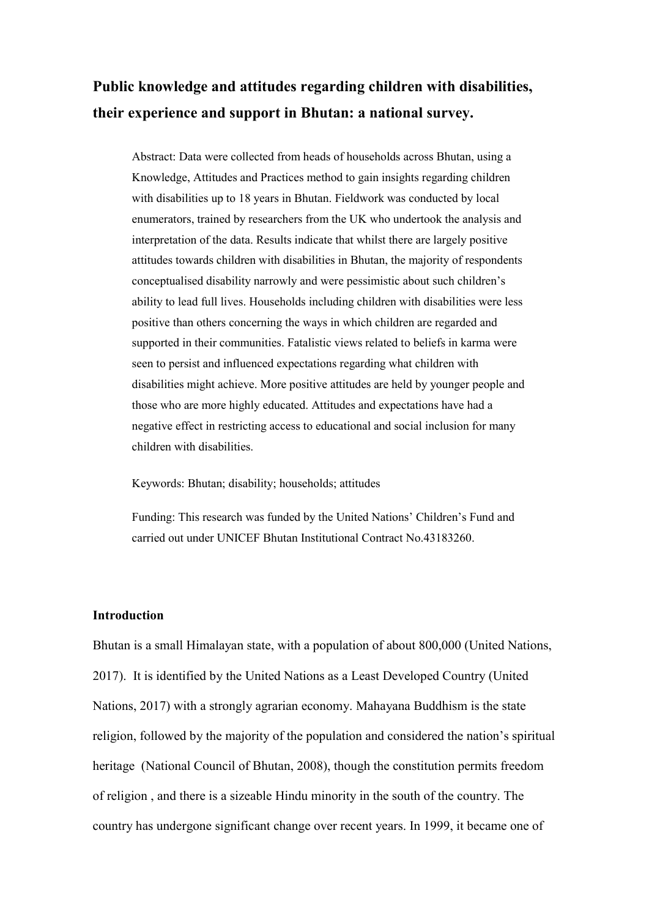# **Public knowledge and attitudes regarding children with disabilities, their experience and support in Bhutan: a national survey.**

Abstract: Data were collected from heads of households across Bhutan, using a Knowledge, Attitudes and Practices method to gain insights regarding children with disabilities up to 18 years in Bhutan. Fieldwork was conducted by local enumerators, trained by researchers from the UK who undertook the analysis and interpretation of the data. Results indicate that whilst there are largely positive attitudes towards children with disabilities in Bhutan, the majority of respondents conceptualised disability narrowly and were pessimistic about such children's ability to lead full lives. Households including children with disabilities were less positive than others concerning the ways in which children are regarded and supported in their communities. Fatalistic views related to beliefs in karma were seen to persist and influenced expectations regarding what children with disabilities might achieve. More positive attitudes are held by younger people and those who are more highly educated. Attitudes and expectations have had a negative effect in restricting access to educational and social inclusion for many children with disabilities.

Keywords: Bhutan; disability; households; attitudes

Funding: This research was funded by the United Nations' Children's Fund and carried out under UNICEF Bhutan Institutional Contract No.43183260.

# **Introduction**

Bhutan is a small Himalayan state, with a population of about 800,000 (United Nations, 2017). It is identified by the United Nations as a Least Developed Country (United Nations, 2017) with a strongly agrarian economy. Mahayana Buddhism is the state religion, followed by the majority of the population and considered the nation's spiritual heritage (National Council of Bhutan, 2008), though the constitution permits freedom of religion , and there is a sizeable Hindu minority in the south of the country. The country has undergone significant change over recent years. In 1999, it became one of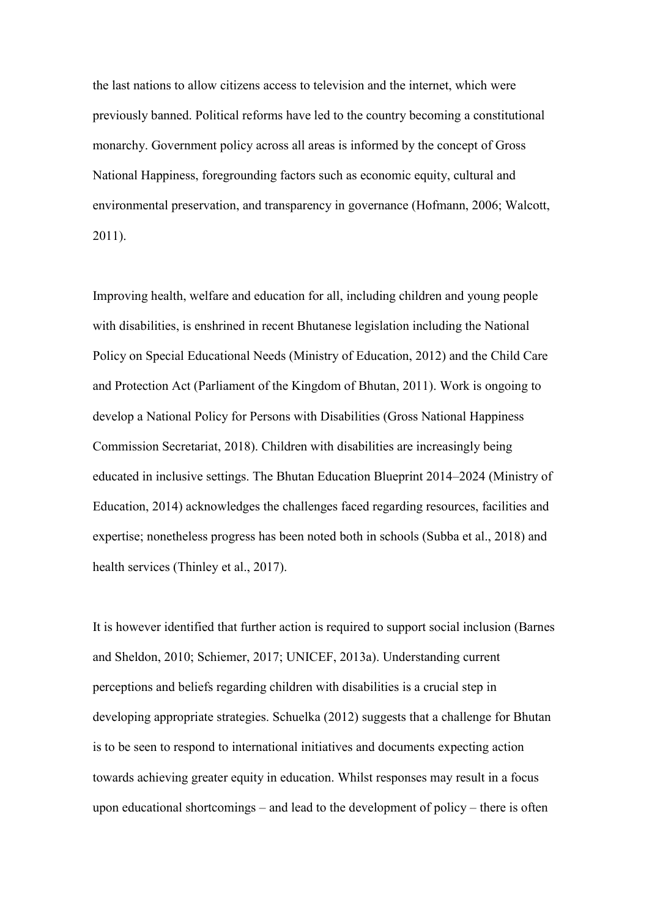the last nations to allow citizens access to television and the internet, which were previously banned. Political reforms have led to the country becoming a constitutional monarchy. Government policy across all areas is informed by the concept of Gross National Happiness, foregrounding factors such as economic equity, cultural and environmental preservation, and transparency in governance (Hofmann, 2006; Walcott, 2011).

Improving health, welfare and education for all, including children and young people with disabilities, is enshrined in recent Bhutanese legislation including the National Policy on Special Educational Needs (Ministry of Education, 2012) and the Child Care and Protection Act (Parliament of the Kingdom of Bhutan, 2011). Work is ongoing to develop a National Policy for Persons with Disabilities (Gross National Happiness Commission Secretariat, 2018). Children with disabilities are increasingly being educated in inclusive settings. The Bhutan Education Blueprint 2014–2024 (Ministry of Education, 2014) acknowledges the challenges faced regarding resources, facilities and expertise; nonetheless progress has been noted both in schools (Subba et al., 2018) and health services (Thinley et al., 2017).

It is however identified that further action is required to support social inclusion (Barnes and Sheldon, 2010; Schiemer, 2017; UNICEF, 2013a). Understanding current perceptions and beliefs regarding children with disabilities is a crucial step in developing appropriate strategies. Schuelka (2012) suggests that a challenge for Bhutan is to be seen to respond to international initiatives and documents expecting action towards achieving greater equity in education. Whilst responses may result in a focus upon educational shortcomings – and lead to the development of policy – there is often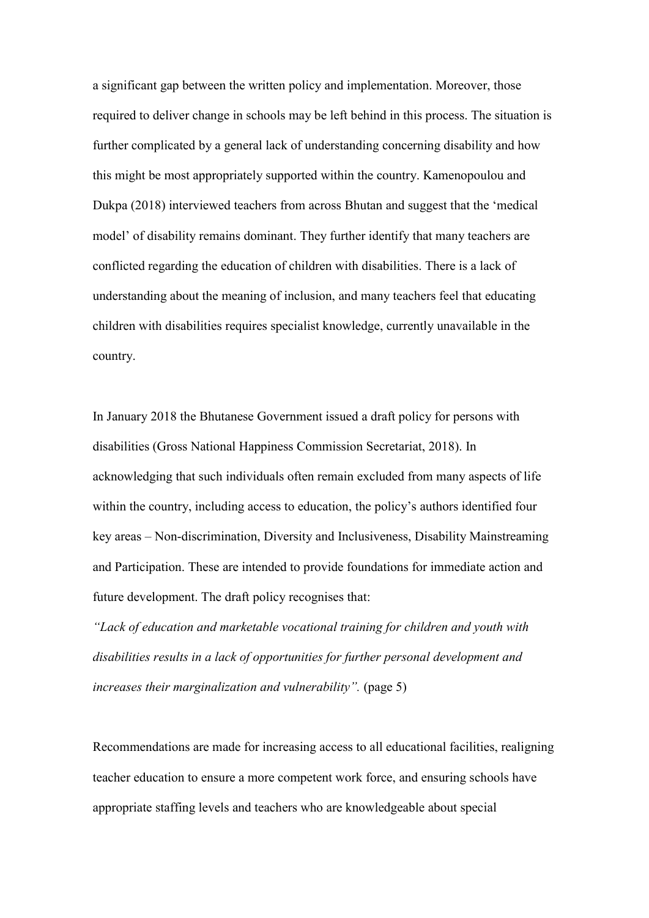a significant gap between the written policy and implementation. Moreover, those required to deliver change in schools may be left behind in this process. The situation is further complicated by a general lack of understanding concerning disability and how this might be most appropriately supported within the country. Kamenopoulou and Dukpa (2018) interviewed teachers from across Bhutan and suggest that the 'medical model' of disability remains dominant. They further identify that many teachers are conflicted regarding the education of children with disabilities. There is a lack of understanding about the meaning of inclusion, and many teachers feel that educating children with disabilities requires specialist knowledge, currently unavailable in the country.

In January 2018 the Bhutanese Government issued a draft policy for persons with disabilities (Gross National Happiness Commission Secretariat, 2018). In acknowledging that such individuals often remain excluded from many aspects of life within the country, including access to education, the policy's authors identified four key areas – Non-discrimination, Diversity and Inclusiveness, Disability Mainstreaming and Participation. These are intended to provide foundations for immediate action and future development. The draft policy recognises that:

*"Lack of education and marketable vocational training for children and youth with disabilities results in a lack of opportunities for further personal development and increases their marginalization and vulnerability".* (page 5)

Recommendations are made for increasing access to all educational facilities, realigning teacher education to ensure a more competent work force, and ensuring schools have appropriate staffing levels and teachers who are knowledgeable about special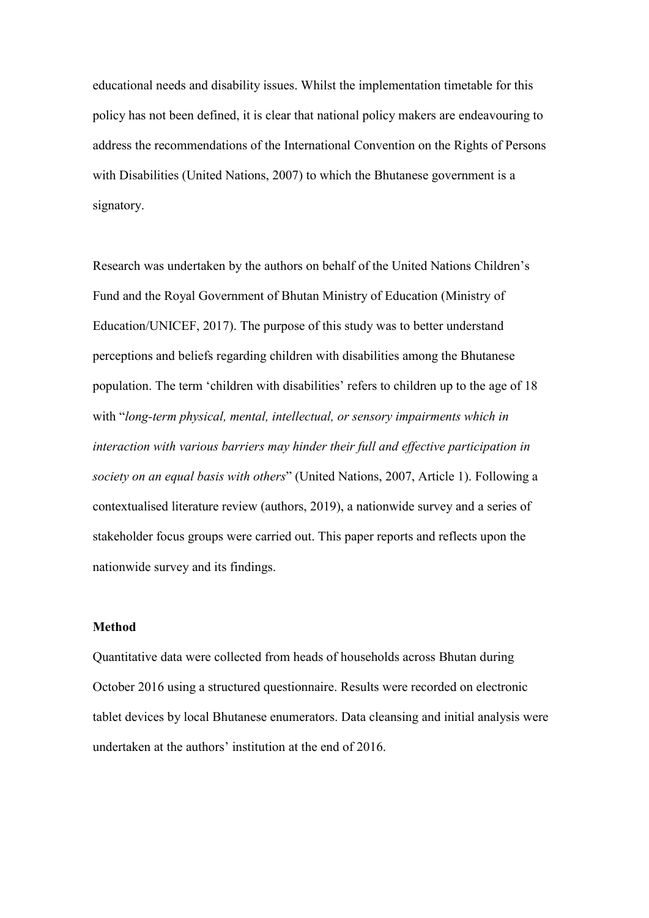educational needs and disability issues. Whilst the implementation timetable for this policy has not been defined, it is clear that national policy makers are endeavouring to address the recommendations of the International Convention on the Rights of Persons with Disabilities (United Nations, 2007) to which the Bhutanese government is a signatory.

Research was undertaken by the authors on behalf of the United Nations Children's Fund and the Royal Government of Bhutan Ministry of Education (Ministry of Education/UNICEF, 2017). The purpose of this study was to better understand perceptions and beliefs regarding children with disabilities among the Bhutanese population. The term 'children with disabilities' refers to children up to the age of 18 with "*long-term physical, mental, intellectual, or sensory impairments which in interaction with various barriers may hinder their full and effective participation in society on an equal basis with others*" (United Nations, 2007, Article 1). Following a contextualised literature review (authors, 2019), a nationwide survey and a series of stakeholder focus groups were carried out. This paper reports and reflects upon the nationwide survey and its findings.

#### **Method**

Quantitative data were collected from heads of households across Bhutan during October 2016 using a structured questionnaire. Results were recorded on electronic tablet devices by local Bhutanese enumerators. Data cleansing and initial analysis were undertaken at the authors' institution at the end of 2016.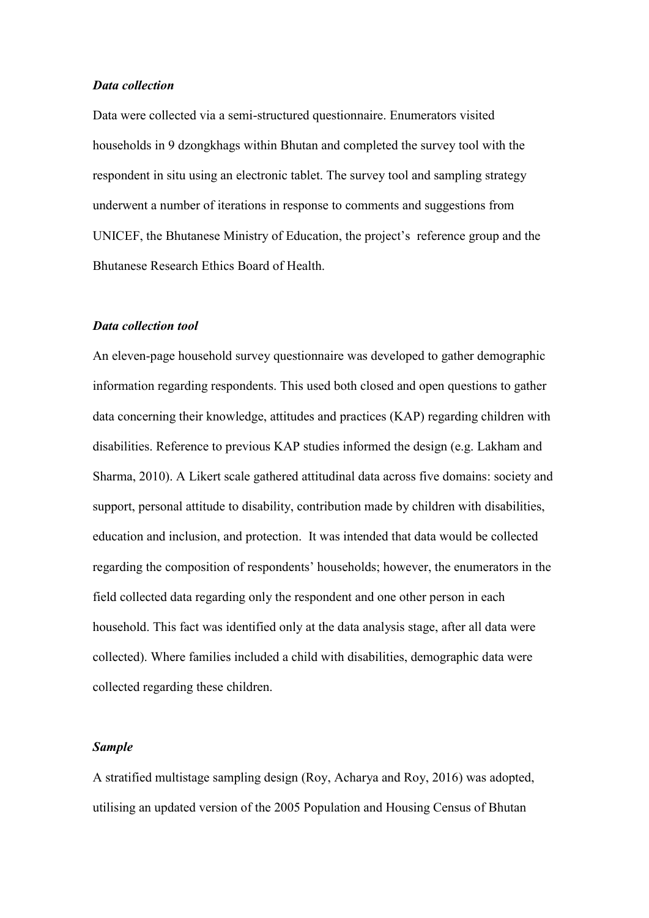#### *Data collection*

Data were collected via a semi-structured questionnaire. Enumerators visited households in 9 dzongkhags within Bhutan and completed the survey tool with the respondent in situ using an electronic tablet. The survey tool and sampling strategy underwent a number of iterations in response to comments and suggestions from UNICEF, the Bhutanese Ministry of Education, the project's reference group and the Bhutanese Research Ethics Board of Health.

#### *Data collection tool*

An eleven-page household survey questionnaire was developed to gather demographic information regarding respondents. This used both closed and open questions to gather data concerning their knowledge, attitudes and practices (KAP) regarding children with disabilities. Reference to previous KAP studies informed the design (e.g. Lakham and Sharma, 2010). A Likert scale gathered attitudinal data across five domains: society and support, personal attitude to disability, contribution made by children with disabilities, education and inclusion, and protection. It was intended that data would be collected regarding the composition of respondents' households; however, the enumerators in the field collected data regarding only the respondent and one other person in each household. This fact was identified only at the data analysis stage, after all data were collected). Where families included a child with disabilities, demographic data were collected regarding these children.

# *Sample*

A stratified multistage sampling design (Roy, Acharya and Roy, 2016) was adopted, utilising an updated version of the 2005 Population and Housing Census of Bhutan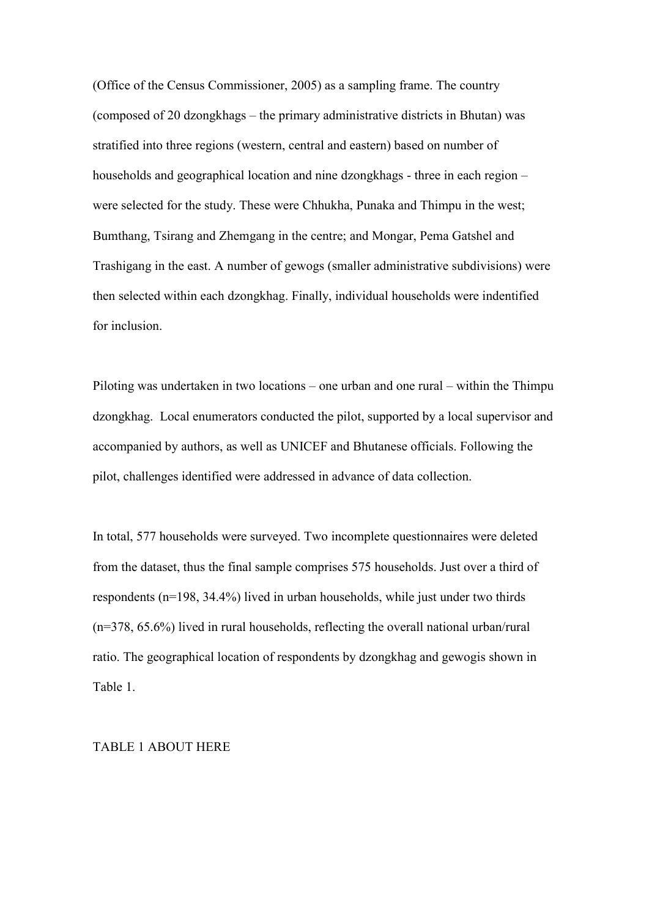(Office of the Census Commissioner, 2005) as a sampling frame. The country (composed of 20 dzongkhags – the primary administrative districts in Bhutan) was stratified into three regions (western, central and eastern) based on number of households and geographical location and nine dzongkhags - three in each region – were selected for the study. These were Chhukha, Punaka and Thimpu in the west; Bumthang, Tsirang and Zhemgang in the centre; and Mongar, Pema Gatshel and Trashigang in the east. A number of gewogs (smaller administrative subdivisions) were then selected within each dzongkhag. Finally, individual households were indentified for inclusion.

Piloting was undertaken in two locations – one urban and one rural – within the Thimpu dzongkhag. Local enumerators conducted the pilot, supported by a local supervisor and accompanied by authors, as well as UNICEF and Bhutanese officials. Following the pilot, challenges identified were addressed in advance of data collection.

In total, 577 households were surveyed. Two incomplete questionnaires were deleted from the dataset, thus the final sample comprises 575 households. Just over a third of respondents (n=198, 34.4%) lived in urban households, while just under two thirds (n=378, 65.6%) lived in rural households, reflecting the overall national urban/rural ratio. The geographical location of respondents by dzongkhag and gewogis shown in Table 1.

#### TABLE 1 ABOUT HERE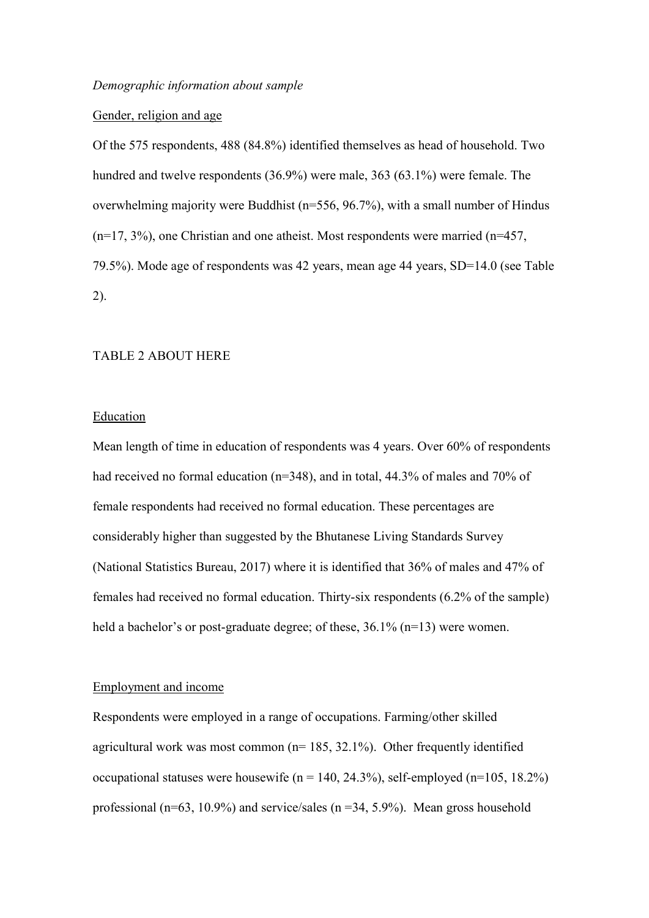# Gender, religion and age

Of the 575 respondents, 488 (84.8%) identified themselves as head of household. Two hundred and twelve respondents (36.9%) were male, 363 (63.1%) were female. The overwhelming majority were Buddhist (n=556, 96.7%), with a small number of Hindus  $(n=17, 3\%)$ , one Christian and one atheist. Most respondents were married  $(n=457, 1\%)$ 79.5%). Mode age of respondents was 42 years, mean age 44 years, SD=14.0 (see Table 2).

# TABLE 2 ABOUT HERE

#### Education

Mean length of time in education of respondents was 4 years. Over 60% of respondents had received no formal education (n=348), and in total, 44.3% of males and 70% of female respondents had received no formal education. These percentages are considerably higher than suggested by the Bhutanese Living Standards Survey (National Statistics Bureau, 2017) where it is identified that 36% of males and 47% of females had received no formal education. Thirty-six respondents (6.2% of the sample) held a bachelor's or post-graduate degree; of these, 36.1% (n=13) were women.

# Employment and income

Respondents were employed in a range of occupations. Farming/other skilled agricultural work was most common ( $n= 185, 32.1\%$ ). Other frequently identified occupational statuses were housewife ( $n = 140, 24.3\%$ ), self-employed ( $n = 105, 18.2\%$ ) professional (n=63, 10.9%) and service/sales (n=34, 5.9%). Mean gross household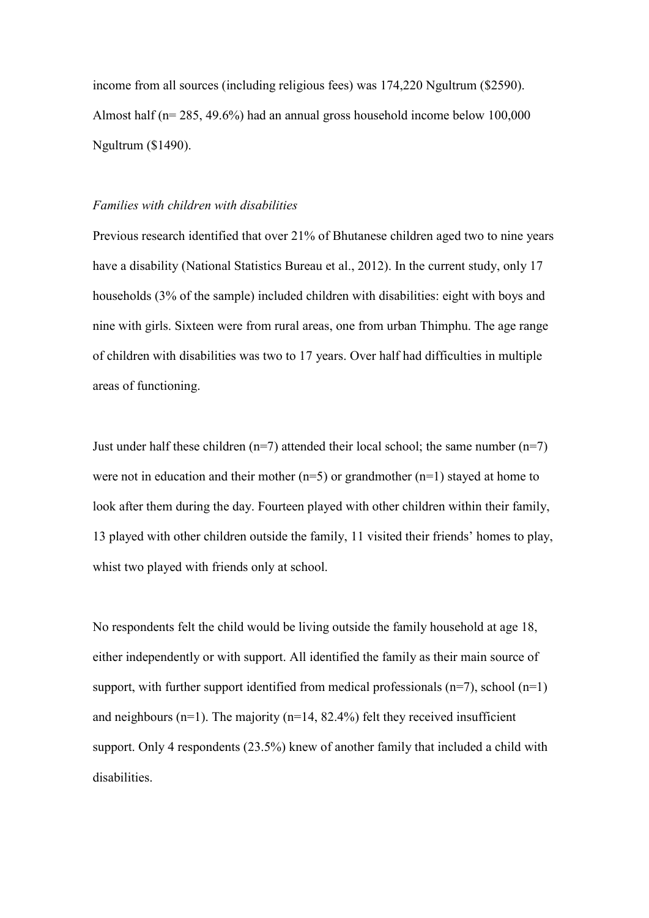income from all sources (including religious fees) was 174,220 Ngultrum (\$2590). Almost half (n= 285, 49.6%) had an annual gross household income below 100,000 Ngultrum (\$1490).

#### *Families with children with disabilities*

Previous research identified that over 21% of Bhutanese children aged two to nine years have a disability (National Statistics Bureau et al., 2012). In the current study, only 17 households (3% of the sample) included children with disabilities: eight with boys and nine with girls. Sixteen were from rural areas, one from urban Thimphu. The age range of children with disabilities was two to 17 years. Over half had difficulties in multiple areas of functioning.

Just under half these children ( $n=7$ ) attended their local school; the same number ( $n=7$ ) were not in education and their mother  $(n=5)$  or grandmother  $(n=1)$  stayed at home to look after them during the day. Fourteen played with other children within their family, 13 played with other children outside the family, 11 visited their friends' homes to play, whist two played with friends only at school.

No respondents felt the child would be living outside the family household at age 18, either independently or with support. All identified the family as their main source of support, with further support identified from medical professionals  $(n=7)$ , school  $(n=1)$ and neighbours ( $n=1$ ). The majority ( $n=14$ , 82.4%) felt they received insufficient support. Only 4 respondents (23.5%) knew of another family that included a child with disabilities.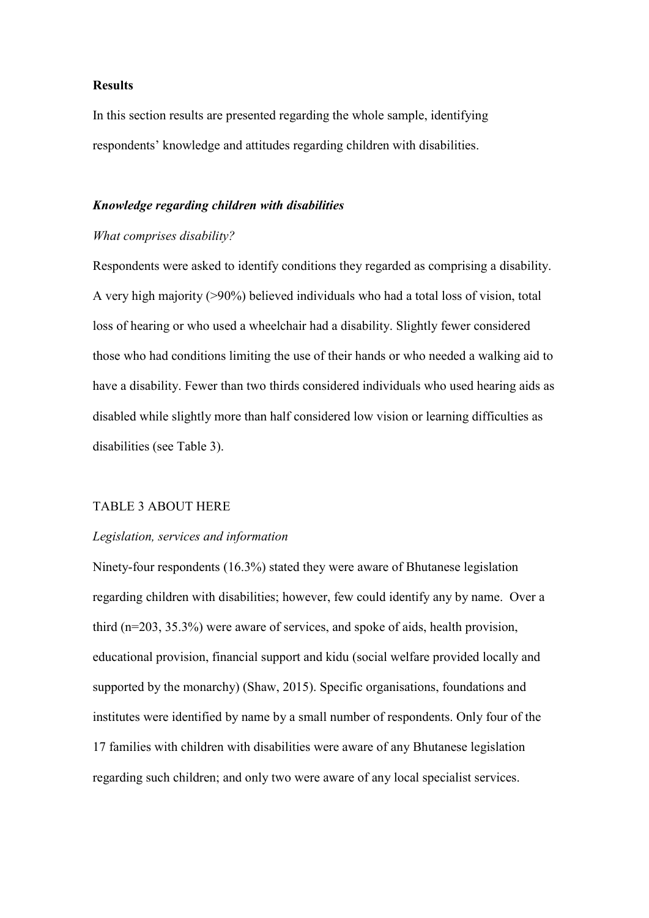# **Results**

In this section results are presented regarding the whole sample, identifying respondents' knowledge and attitudes regarding children with disabilities.

# *Knowledge regarding children with disabilities*

# *What comprises disability?*

Respondents were asked to identify conditions they regarded as comprising a disability. A very high majority (>90%) believed individuals who had a total loss of vision, total loss of hearing or who used a wheelchair had a disability. Slightly fewer considered those who had conditions limiting the use of their hands or who needed a walking aid to have a disability. Fewer than two thirds considered individuals who used hearing aids as disabled while slightly more than half considered low vision or learning difficulties as disabilities (see Table 3).

# TABLE 3 ABOUT HERE

## *Legislation, services and information*

Ninety-four respondents (16.3%) stated they were aware of Bhutanese legislation regarding children with disabilities; however, few could identify any by name. Over a third (n=203, 35.3%) were aware of services, and spoke of aids, health provision, educational provision, financial support and kidu (social welfare provided locally and supported by the monarchy) (Shaw, 2015). Specific organisations, foundations and institutes were identified by name by a small number of respondents. Only four of the 17 families with children with disabilities were aware of any Bhutanese legislation regarding such children; and only two were aware of any local specialist services.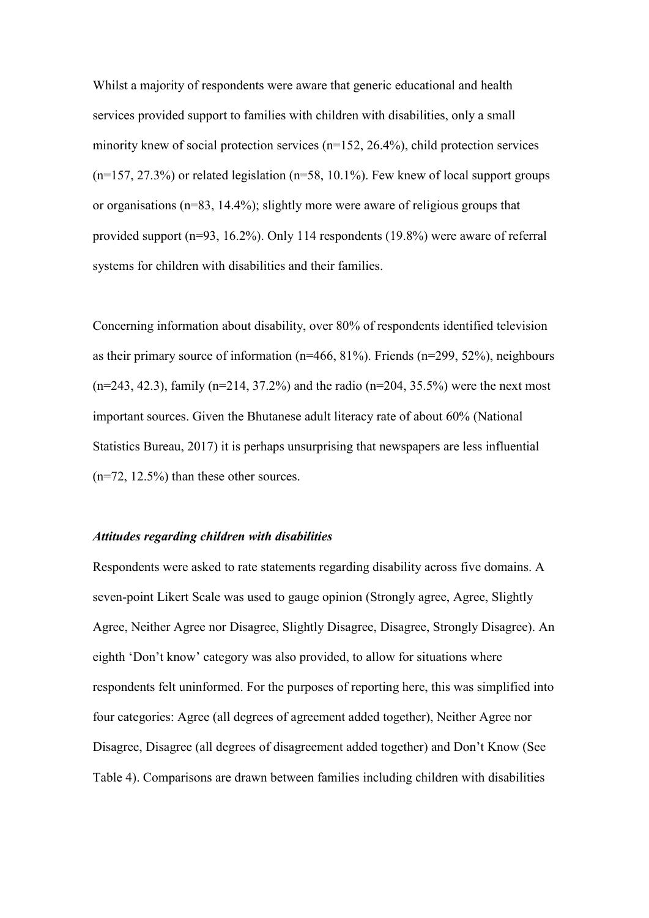Whilst a majority of respondents were aware that generic educational and health services provided support to families with children with disabilities, only a small minority knew of social protection services (n=152, 26.4%), child protection services  $(n=157, 27.3%)$  or related legislation  $(n=58, 10.1%)$ . Few knew of local support groups or organisations (n=83, 14.4%); slightly more were aware of religious groups that provided support (n=93, 16.2%). Only 114 respondents (19.8%) were aware of referral systems for children with disabilities and their families.

Concerning information about disability, over 80% of respondents identified television as their primary source of information (n=466, 81%). Friends (n=299, 52%), neighbours  $(n=243, 42.3)$ , family  $(n=214, 37.2%)$  and the radio  $(n=204, 35.5%)$  were the next most important sources. Given the Bhutanese adult literacy rate of about 60% (National Statistics Bureau, 2017) it is perhaps unsurprising that newspapers are less influential (n=72, 12.5%) than these other sources.

#### *Attitudes regarding children with disabilities*

Respondents were asked to rate statements regarding disability across five domains. A seven-point Likert Scale was used to gauge opinion (Strongly agree, Agree, Slightly Agree, Neither Agree nor Disagree, Slightly Disagree, Disagree, Strongly Disagree). An eighth 'Don't know' category was also provided, to allow for situations where respondents felt uninformed. For the purposes of reporting here, this was simplified into four categories: Agree (all degrees of agreement added together), Neither Agree nor Disagree, Disagree (all degrees of disagreement added together) and Don't Know (See Table 4). Comparisons are drawn between families including children with disabilities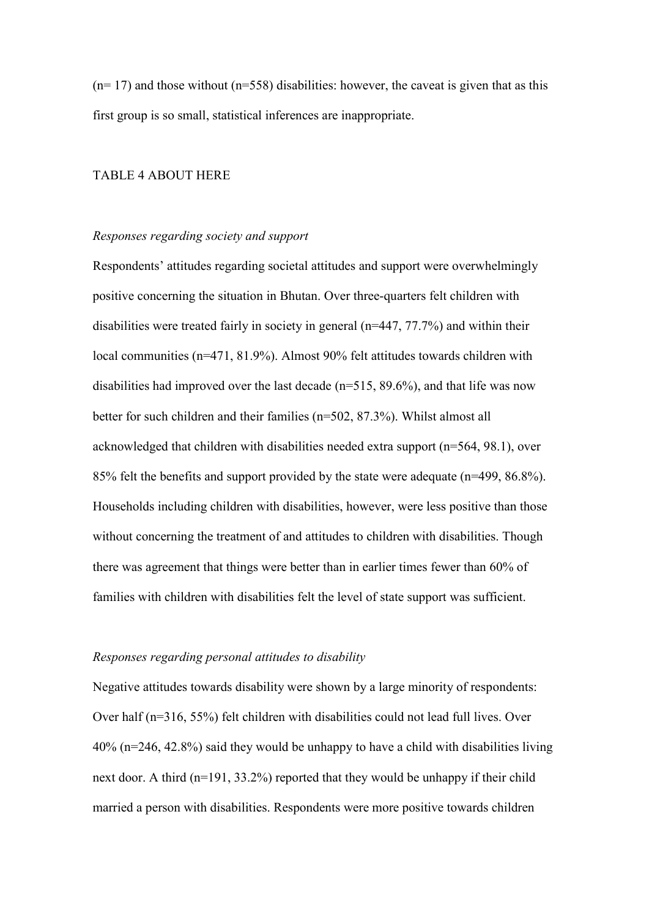$(n=17)$  and those without  $(n=558)$  disabilities: however, the caveat is given that as this first group is so small, statistical inferences are inappropriate.

# TABLE 4 ABOUT HERE

#### *Responses regarding society and support*

Respondents' attitudes regarding societal attitudes and support were overwhelmingly positive concerning the situation in Bhutan. Over three-quarters felt children with disabilities were treated fairly in society in general (n=447, 77.7%) and within their local communities (n=471, 81.9%). Almost 90% felt attitudes towards children with disabilities had improved over the last decade  $(n=515, 89.6\%)$ , and that life was now better for such children and their families (n=502, 87.3%). Whilst almost all acknowledged that children with disabilities needed extra support (n=564, 98.1), over 85% felt the benefits and support provided by the state were adequate (n=499, 86.8%). Households including children with disabilities, however, were less positive than those without concerning the treatment of and attitudes to children with disabilities. Though there was agreement that things were better than in earlier times fewer than 60% of families with children with disabilities felt the level of state support was sufficient.

#### *Responses regarding personal attitudes to disability*

Negative attitudes towards disability were shown by a large minority of respondents: Over half (n=316, 55%) felt children with disabilities could not lead full lives. Over 40% (n=246, 42.8%) said they would be unhappy to have a child with disabilities living next door. A third (n=191, 33.2%) reported that they would be unhappy if their child married a person with disabilities. Respondents were more positive towards children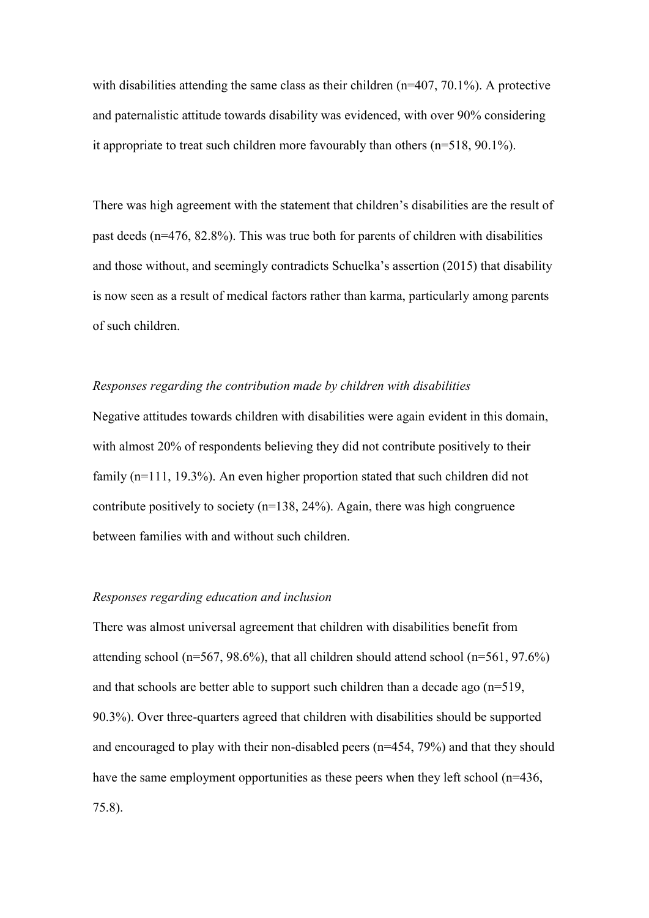with disabilities attending the same class as their children  $(n=407, 70.1\%)$ . A protective and paternalistic attitude towards disability was evidenced, with over 90% considering it appropriate to treat such children more favourably than others (n=518, 90.1%).

There was high agreement with the statement that children's disabilities are the result of past deeds (n=476, 82.8%). This was true both for parents of children with disabilities and those without, and seemingly contradicts Schuelka's assertion (2015) that disability is now seen as a result of medical factors rather than karma, particularly among parents of such children.

#### *Responses regarding the contribution made by children with disabilities*

Negative attitudes towards children with disabilities were again evident in this domain, with almost 20% of respondents believing they did not contribute positively to their family (n=111, 19.3%). An even higher proportion stated that such children did not contribute positively to society ( $n=138$ , 24%). Again, there was high congruence between families with and without such children.

# *Responses regarding education and inclusion*

There was almost universal agreement that children with disabilities benefit from attending school (n=567, 98.6%), that all children should attend school (n=561, 97.6%) and that schools are better able to support such children than a decade ago (n=519, 90.3%). Over three-quarters agreed that children with disabilities should be supported and encouraged to play with their non-disabled peers (n=454, 79%) and that they should have the same employment opportunities as these peers when they left school (n=436, 75.8).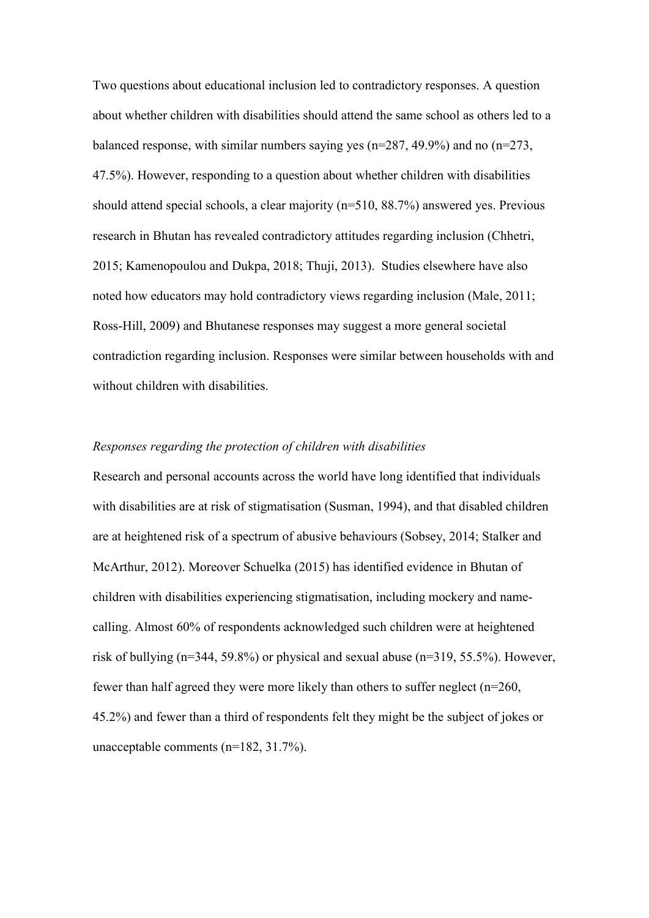Two questions about educational inclusion led to contradictory responses. A question about whether children with disabilities should attend the same school as others led to a balanced response, with similar numbers saying yes (n=287, 49.9%) and no (n=273, 47.5%). However, responding to a question about whether children with disabilities should attend special schools, a clear majority (n=510, 88.7%) answered yes. Previous research in Bhutan has revealed contradictory attitudes regarding inclusion (Chhetri, 2015; Kamenopoulou and Dukpa, 2018; Thuji, 2013). Studies elsewhere have also noted how educators may hold contradictory views regarding inclusion (Male, 2011; Ross-Hill, 2009) and Bhutanese responses may suggest a more general societal contradiction regarding inclusion. Responses were similar between households with and without children with disabilities.

## *Responses regarding the protection of children with disabilities*

Research and personal accounts across the world have long identified that individuals with disabilities are at risk of stigmatisation (Susman, 1994), and that disabled children are at heightened risk of a spectrum of abusive behaviours (Sobsey, 2014; Stalker and McArthur, 2012). Moreover Schuelka (2015) has identified evidence in Bhutan of children with disabilities experiencing stigmatisation, including mockery and namecalling. Almost 60% of respondents acknowledged such children were at heightened risk of bullying (n=344, 59.8%) or physical and sexual abuse (n=319, 55.5%). However, fewer than half agreed they were more likely than others to suffer neglect (n=260, 45.2%) and fewer than a third of respondents felt they might be the subject of jokes or unacceptable comments (n=182, 31.7%).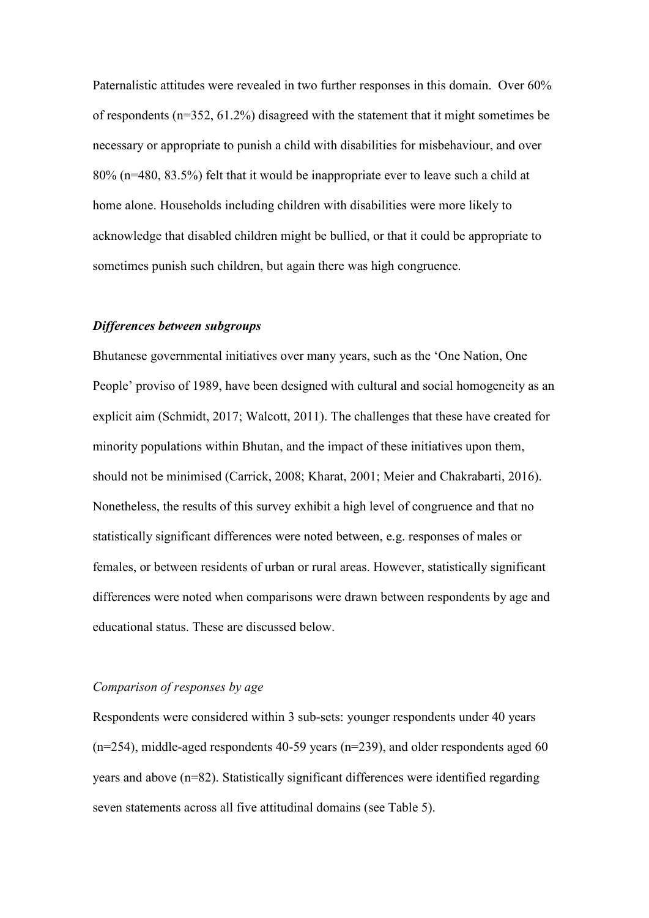Paternalistic attitudes were revealed in two further responses in this domain. Over 60% of respondents (n=352, 61.2%) disagreed with the statement that it might sometimes be necessary or appropriate to punish a child with disabilities for misbehaviour, and over 80% (n=480, 83.5%) felt that it would be inappropriate ever to leave such a child at home alone. Households including children with disabilities were more likely to acknowledge that disabled children might be bullied, or that it could be appropriate to sometimes punish such children, but again there was high congruence.

## *Differences between subgroups*

Bhutanese governmental initiatives over many years, such as the 'One Nation, One People' proviso of 1989, have been designed with cultural and social homogeneity as an explicit aim (Schmidt, 2017; Walcott, 2011). The challenges that these have created for minority populations within Bhutan, and the impact of these initiatives upon them, should not be minimised (Carrick, 2008; Kharat, 2001; Meier and Chakrabarti, 2016). Nonetheless, the results of this survey exhibit a high level of congruence and that no statistically significant differences were noted between, e.g. responses of males or females, or between residents of urban or rural areas. However, statistically significant differences were noted when comparisons were drawn between respondents by age and educational status. These are discussed below.

# *Comparison of responses by age*

Respondents were considered within 3 sub-sets: younger respondents under 40 years  $(n=254)$ , middle-aged respondents 40-59 years  $(n=239)$ , and older respondents aged 60 years and above (n=82). Statistically significant differences were identified regarding seven statements across all five attitudinal domains (see Table 5).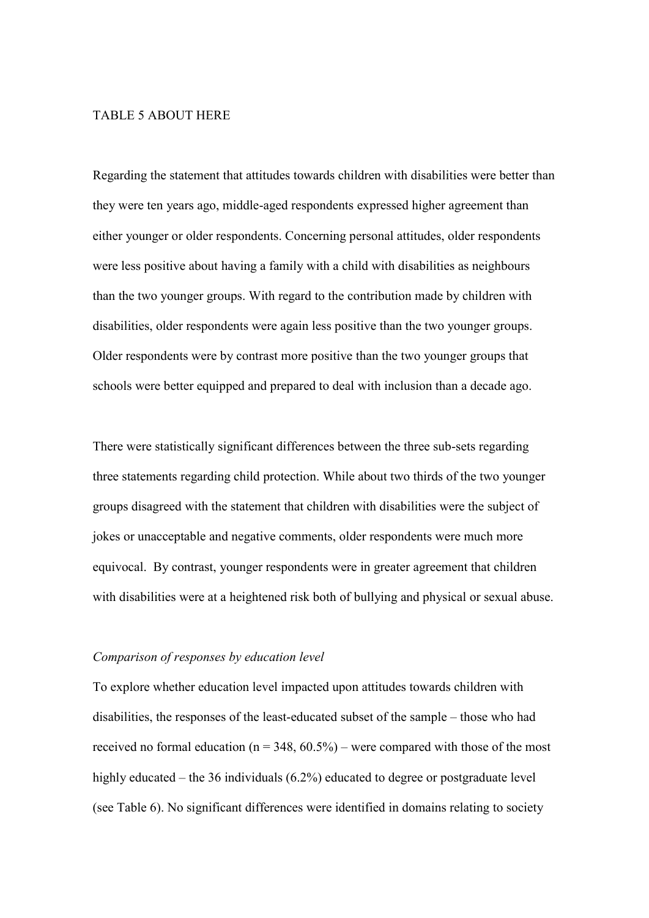# TABLE 5 ABOUT HERE

Regarding the statement that attitudes towards children with disabilities were better than they were ten years ago, middle-aged respondents expressed higher agreement than either younger or older respondents. Concerning personal attitudes, older respondents were less positive about having a family with a child with disabilities as neighbours than the two younger groups. With regard to the contribution made by children with disabilities, older respondents were again less positive than the two younger groups. Older respondents were by contrast more positive than the two younger groups that schools were better equipped and prepared to deal with inclusion than a decade ago.

There were statistically significant differences between the three sub-sets regarding three statements regarding child protection. While about two thirds of the two younger groups disagreed with the statement that children with disabilities were the subject of jokes or unacceptable and negative comments, older respondents were much more equivocal. By contrast, younger respondents were in greater agreement that children with disabilities were at a heightened risk both of bullying and physical or sexual abuse.

#### *Comparison of responses by education level*

To explore whether education level impacted upon attitudes towards children with disabilities, the responses of the least-educated subset of the sample – those who had received no formal education ( $n = 348, 60.5\%$ ) – were compared with those of the most highly educated – the 36 individuals (6.2%) educated to degree or postgraduate level (see Table 6). No significant differences were identified in domains relating to society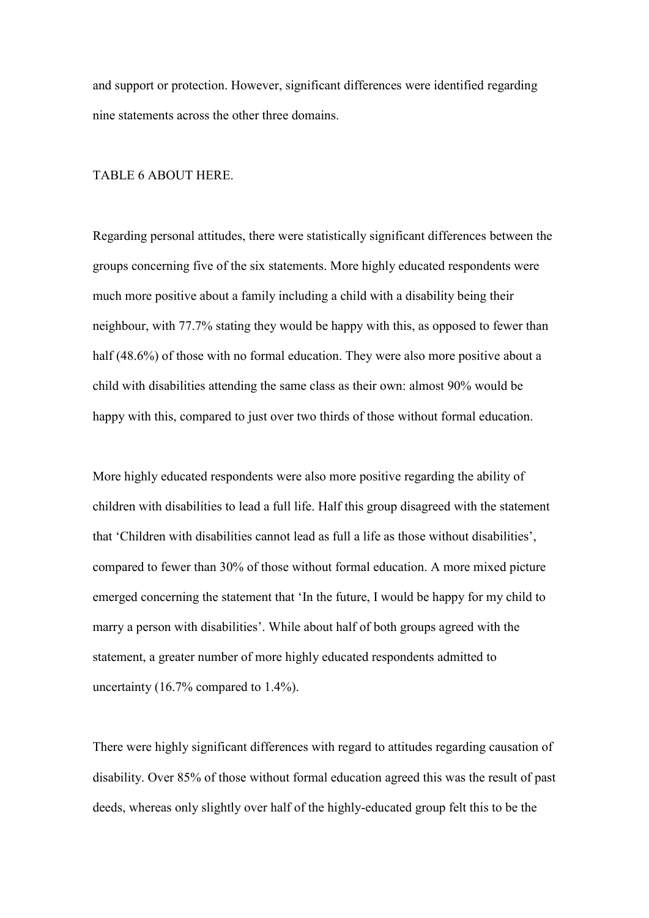and support or protection. However, significant differences were identified regarding nine statements across the other three domains.

# TABLE 6 ABOUT HERE.

Regarding personal attitudes, there were statistically significant differences between the groups concerning five of the six statements. More highly educated respondents were much more positive about a family including a child with a disability being their neighbour, with 77.7% stating they would be happy with this, as opposed to fewer than half (48.6%) of those with no formal education. They were also more positive about a child with disabilities attending the same class as their own: almost 90% would be happy with this, compared to just over two thirds of those without formal education.

More highly educated respondents were also more positive regarding the ability of children with disabilities to lead a full life. Half this group disagreed with the statement that 'Children with disabilities cannot lead as full a life as those without disabilities', compared to fewer than 30% of those without formal education. A more mixed picture emerged concerning the statement that 'In the future, I would be happy for my child to marry a person with disabilities'. While about half of both groups agreed with the statement, a greater number of more highly educated respondents admitted to uncertainty (16.7% compared to 1.4%).

There were highly significant differences with regard to attitudes regarding causation of disability. Over 85% of those without formal education agreed this was the result of past deeds, whereas only slightly over half of the highly-educated group felt this to be the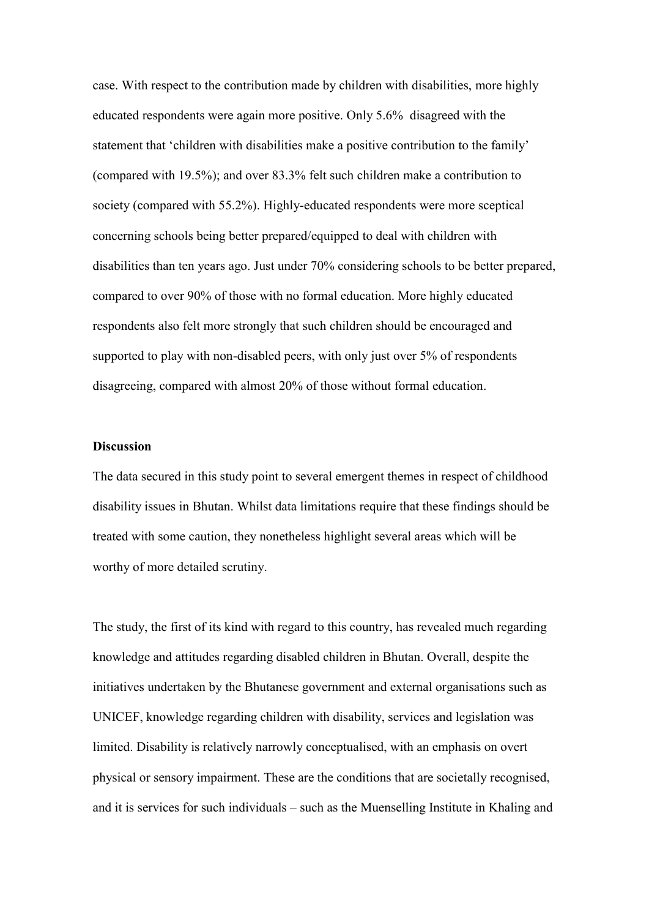case. With respect to the contribution made by children with disabilities, more highly educated respondents were again more positive. Only 5.6% disagreed with the statement that 'children with disabilities make a positive contribution to the family' (compared with 19.5%); and over 83.3% felt such children make a contribution to society (compared with 55.2%). Highly-educated respondents were more sceptical concerning schools being better prepared/equipped to deal with children with disabilities than ten years ago. Just under 70% considering schools to be better prepared, compared to over 90% of those with no formal education. More highly educated respondents also felt more strongly that such children should be encouraged and supported to play with non-disabled peers, with only just over 5% of respondents disagreeing, compared with almost 20% of those without formal education.

# **Discussion**

The data secured in this study point to several emergent themes in respect of childhood disability issues in Bhutan. Whilst data limitations require that these findings should be treated with some caution, they nonetheless highlight several areas which will be worthy of more detailed scrutiny.

The study, the first of its kind with regard to this country, has revealed much regarding knowledge and attitudes regarding disabled children in Bhutan. Overall, despite the initiatives undertaken by the Bhutanese government and external organisations such as UNICEF, knowledge regarding children with disability, services and legislation was limited. Disability is relatively narrowly conceptualised, with an emphasis on overt physical or sensory impairment. These are the conditions that are societally recognised, and it is services for such individuals – such as the Muenselling Institute in Khaling and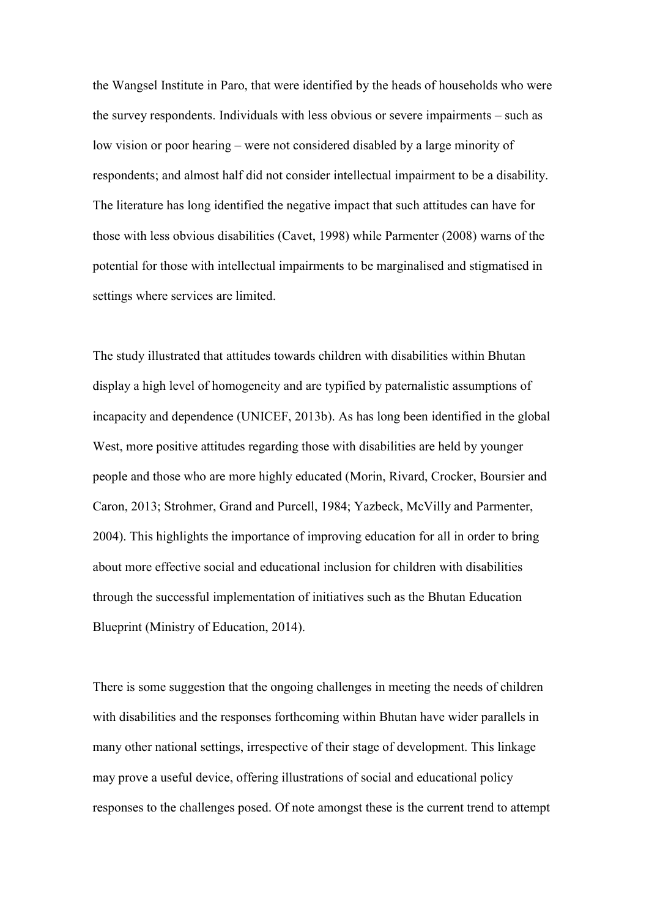the Wangsel Institute in Paro, that were identified by the heads of households who were the survey respondents. Individuals with less obvious or severe impairments – such as low vision or poor hearing – were not considered disabled by a large minority of respondents; and almost half did not consider intellectual impairment to be a disability. The literature has long identified the negative impact that such attitudes can have for those with less obvious disabilities (Cavet, 1998) while Parmenter (2008) warns of the potential for those with intellectual impairments to be marginalised and stigmatised in settings where services are limited.

The study illustrated that attitudes towards children with disabilities within Bhutan display a high level of homogeneity and are typified by paternalistic assumptions of incapacity and dependence (UNICEF, 2013b). As has long been identified in the global West, more positive attitudes regarding those with disabilities are held by younger people and those who are more highly educated (Morin, Rivard, Crocker, Boursier and Caron, 2013; Strohmer, Grand and Purcell, 1984; Yazbeck, McVilly and Parmenter, 2004). This highlights the importance of improving education for all in order to bring about more effective social and educational inclusion for children with disabilities through the successful implementation of initiatives such as the Bhutan Education Blueprint (Ministry of Education, 2014).

There is some suggestion that the ongoing challenges in meeting the needs of children with disabilities and the responses forthcoming within Bhutan have wider parallels in many other national settings, irrespective of their stage of development. This linkage may prove a useful device, offering illustrations of social and educational policy responses to the challenges posed. Of note amongst these is the current trend to attempt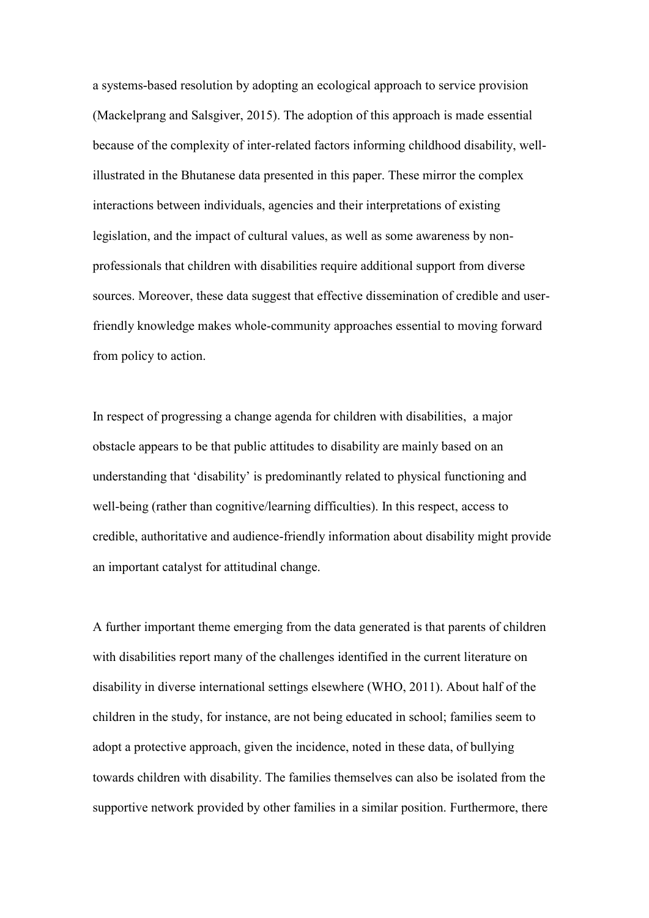a systems-based resolution by adopting an ecological approach to service provision (Mackelprang and Salsgiver, 2015). The adoption of this approach is made essential because of the complexity of inter-related factors informing childhood disability, wellillustrated in the Bhutanese data presented in this paper. These mirror the complex interactions between individuals, agencies and their interpretations of existing legislation, and the impact of cultural values, as well as some awareness by nonprofessionals that children with disabilities require additional support from diverse sources. Moreover, these data suggest that effective dissemination of credible and userfriendly knowledge makes whole-community approaches essential to moving forward from policy to action.

In respect of progressing a change agenda for children with disabilities, a major obstacle appears to be that public attitudes to disability are mainly based on an understanding that 'disability' is predominantly related to physical functioning and well-being (rather than cognitive/learning difficulties). In this respect, access to credible, authoritative and audience-friendly information about disability might provide an important catalyst for attitudinal change.

A further important theme emerging from the data generated is that parents of children with disabilities report many of the challenges identified in the current literature on disability in diverse international settings elsewhere (WHO, 2011). About half of the children in the study, for instance, are not being educated in school; families seem to adopt a protective approach, given the incidence, noted in these data, of bullying towards children with disability. The families themselves can also be isolated from the supportive network provided by other families in a similar position. Furthermore, there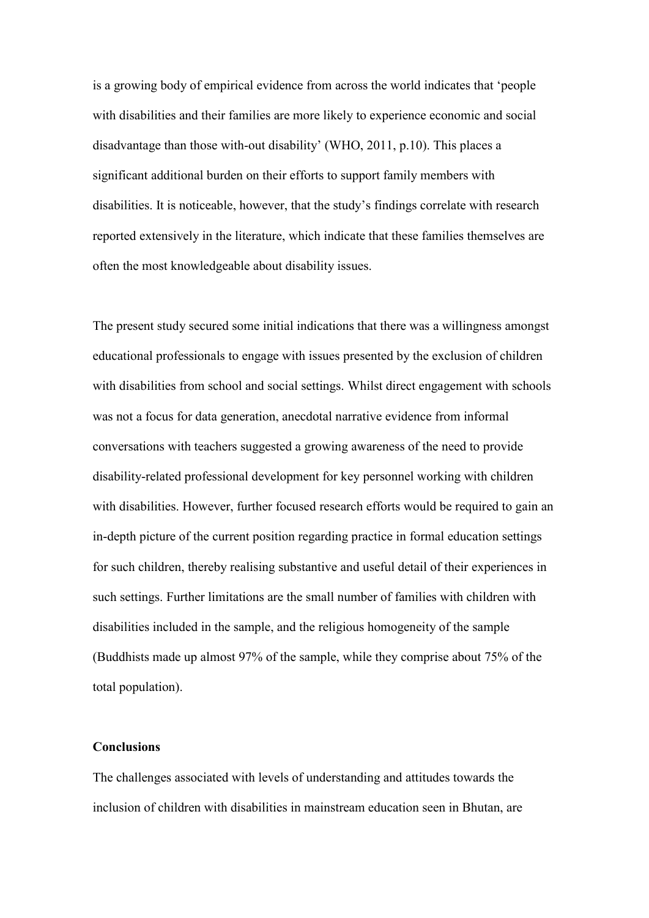is a growing body of empirical evidence from across the world indicates that 'people with disabilities and their families are more likely to experience economic and social disadvantage than those with-out disability' (WHO, 2011, p.10). This places a significant additional burden on their efforts to support family members with disabilities. It is noticeable, however, that the study's findings correlate with research reported extensively in the literature, which indicate that these families themselves are often the most knowledgeable about disability issues.

The present study secured some initial indications that there was a willingness amongst educational professionals to engage with issues presented by the exclusion of children with disabilities from school and social settings. Whilst direct engagement with schools was not a focus for data generation, anecdotal narrative evidence from informal conversations with teachers suggested a growing awareness of the need to provide disability-related professional development for key personnel working with children with disabilities. However, further focused research efforts would be required to gain an in-depth picture of the current position regarding practice in formal education settings for such children, thereby realising substantive and useful detail of their experiences in such settings. Further limitations are the small number of families with children with disabilities included in the sample, and the religious homogeneity of the sample (Buddhists made up almost 97% of the sample, while they comprise about 75% of the total population).

#### **Conclusions**

The challenges associated with levels of understanding and attitudes towards the inclusion of children with disabilities in mainstream education seen in Bhutan, are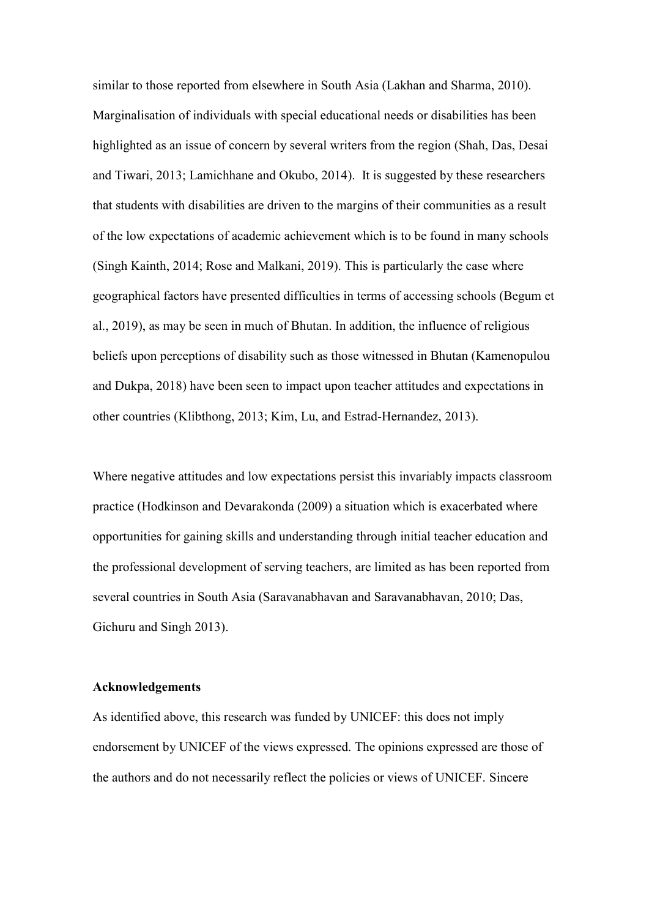similar to those reported from elsewhere in South Asia (Lakhan and Sharma, 2010). Marginalisation of individuals with special educational needs or disabilities has been highlighted as an issue of concern by several writers from the region (Shah, Das, Desai and Tiwari, 2013; Lamichhane and Okubo, 2014). It is suggested by these researchers that students with disabilities are driven to the margins of their communities as a result of the low expectations of academic achievement which is to be found in many schools (Singh Kainth, 2014; Rose and Malkani, 2019). This is particularly the case where geographical factors have presented difficulties in terms of accessing schools (Begum et al., 2019), as may be seen in much of Bhutan. In addition, the influence of religious beliefs upon perceptions of disability such as those witnessed in Bhutan (Kamenopulou and Dukpa, 2018) have been seen to impact upon teacher attitudes and expectations in other countries (Klibthong, 2013; Kim, Lu, and Estrad-Hernandez, 2013).

Where negative attitudes and low expectations persist this invariably impacts classroom practice (Hodkinson and Devarakonda (2009) a situation which is exacerbated where opportunities for gaining skills and understanding through initial teacher education and the professional development of serving teachers, are limited as has been reported from several countries in South Asia (Saravanabhavan and Saravanabhavan, 2010; Das, Gichuru and Singh 2013).

#### **Acknowledgements**

As identified above, this research was funded by UNICEF: this does not imply endorsement by UNICEF of the views expressed. The opinions expressed are those of the authors and do not necessarily reflect the policies or views of UNICEF. Sincere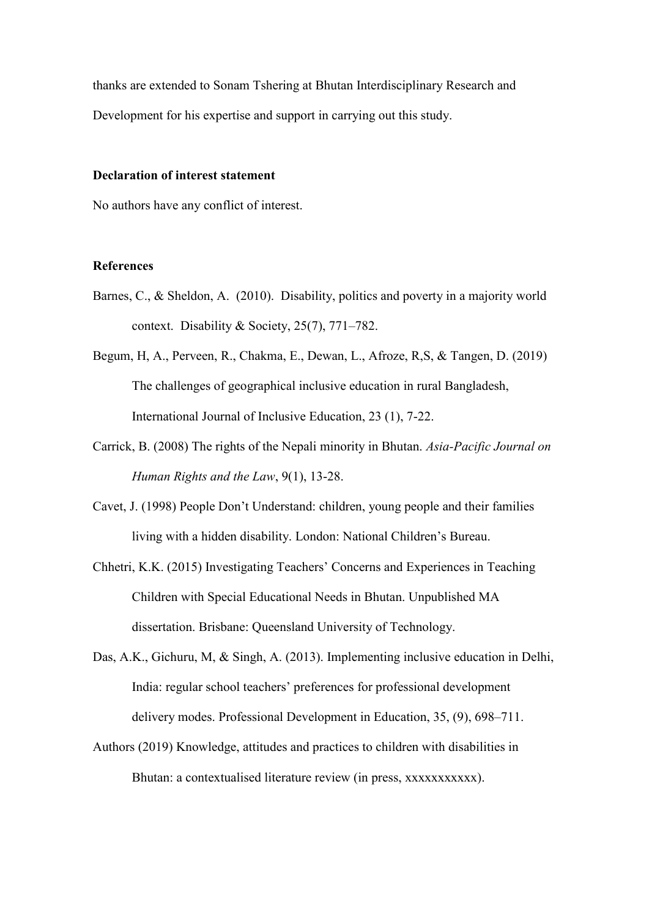thanks are extended to Sonam Tshering at Bhutan Interdisciplinary Research and Development for his expertise and support in carrying out this study.

# **Declaration of interest statement**

No authors have any conflict of interest.

# **References**

- Barnes, C., & Sheldon, A. (2010). Disability, politics and poverty in a majority world context. Disability & Society, 25(7), 771–782.
- Begum, H, A., Perveen, R., Chakma, E., Dewan, L., Afroze, R,S, & Tangen, D. (2019) The challenges of geographical inclusive education in rural Bangladesh, International Journal of Inclusive Education, 23 (1), 7-22.
- Carrick, B. (2008) The rights of the Nepali minority in Bhutan. *Asia-Pacific Journal on Human Rights and the Law*, 9(1), 13-28.
- Cavet, J. (1998) People Don't Understand: children, young people and their families living with a hidden disability. London: National Children's Bureau.
- Chhetri, K.K. (2015) Investigating Teachers' Concerns and Experiences in Teaching Children with Special Educational Needs in Bhutan. Unpublished MA dissertation. Brisbane: Queensland University of Technology.
- Das, A.K., Gichuru, M, & Singh, A. (2013). Implementing inclusive education in Delhi, India: regular school teachers' preferences for professional development delivery modes. Professional Development in Education, 35, (9), 698–711.
- Authors (2019) Knowledge, attitudes and practices to children with disabilities in Bhutan: a contextualised literature review (in press, xxxxxxxxxxx).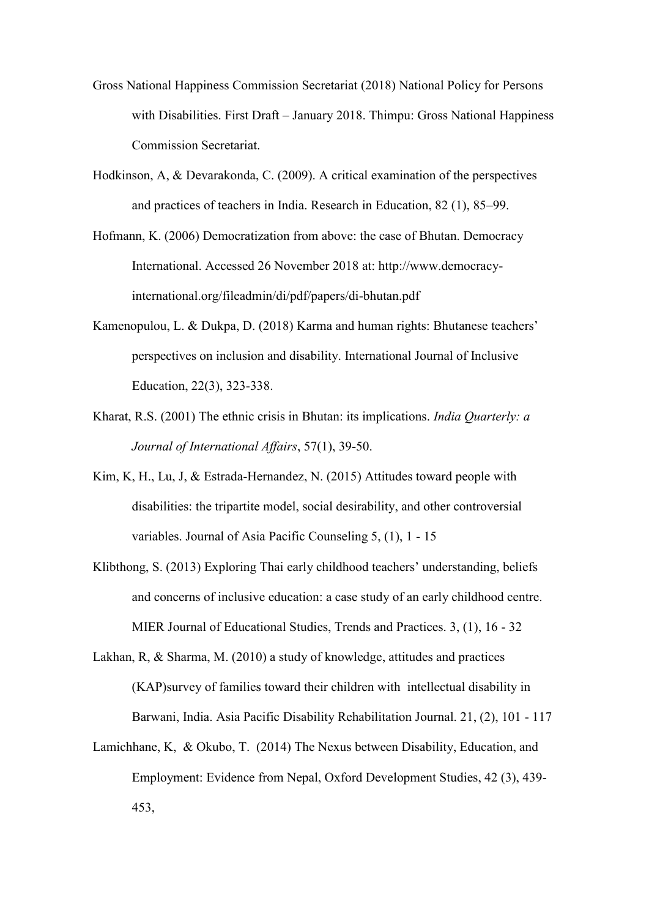- Gross National Happiness Commission Secretariat (2018) National Policy for Persons with Disabilities. First Draft – January 2018. Thimpu: Gross National Happiness Commission Secretariat.
- Hodkinson, A, & Devarakonda, C. (2009). A critical examination of the perspectives and practices of teachers in India. Research in Education, 82 (1), 85–99.
- Hofmann, K. (2006) Democratization from above: the case of Bhutan. Democracy International. Accessed 26 November 2018 at: http://www.democracyinternational.org/fileadmin/di/pdf/papers/di-bhutan.pdf
- Kamenopulou, L. & Dukpa, D. (2018) Karma and human rights: Bhutanese teachers' perspectives on inclusion and disability. International Journal of Inclusive Education, 22(3), 323-338.
- Kharat, R.S. (2001) The ethnic crisis in Bhutan: its implications. *India Quarterly: a Journal of International Affairs*, 57(1), 39-50.
- Kim, K, H., Lu, J, & Estrada-Hernandez, N. (2015) Attitudes toward people with disabilities: the tripartite model, social desirability, and other controversial variables. Journal of Asia Pacific Counseling 5, (1), 1 - 15
- Klibthong, S. (2013) Exploring Thai early childhood teachers' understanding, beliefs and concerns of inclusive education: a case study of an early childhood centre. MIER Journal of Educational Studies, Trends and Practices. 3, (1), 16 - 32
- Lakhan, R, & Sharma, M. (2010) a study of knowledge, attitudes and practices (KAP)survey of families toward their children with intellectual disability in Barwani, India. Asia Pacific Disability Rehabilitation Journal. 21, (2), 101 - 117
- Lamichhane, K, & Okubo, T. (2014) The Nexus between Disability, Education, and Employment: Evidence from Nepal, Oxford Development Studies, 42 (3), 439- 453,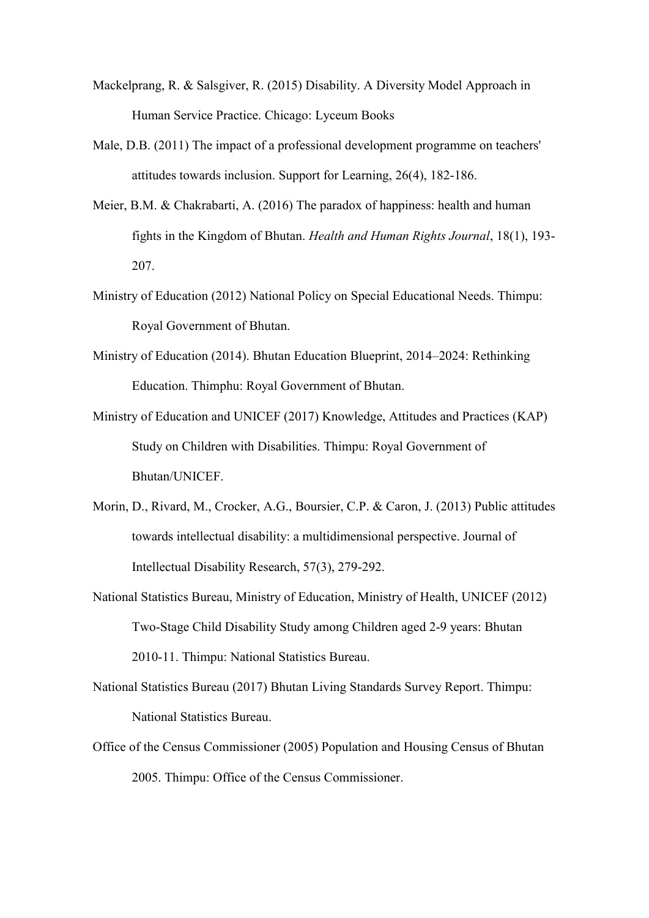- Mackelprang, R. & Salsgiver, R. (2015) Disability. A Diversity Model Approach in Human Service Practice. Chicago: Lyceum Books
- Male, D.B. (2011) The impact of a professional development programme on teachers' attitudes towards inclusion. Support for Learning, 26(4), 182-186.
- Meier, B.M. & Chakrabarti, A. (2016) The paradox of happiness: health and human fights in the Kingdom of Bhutan. *Health and Human Rights Journal*, 18(1), 193- 207.
- Ministry of Education (2012) National Policy on Special Educational Needs. Thimpu: Royal Government of Bhutan.
- Ministry of Education (2014). Bhutan Education Blueprint, 2014–2024: Rethinking Education. Thimphu: Royal Government of Bhutan.
- Ministry of Education and UNICEF (2017) Knowledge, Attitudes and Practices (KAP) Study on Children with Disabilities. Thimpu: Royal Government of Bhutan/UNICEF.
- Morin, D., Rivard, M., Crocker, A.G., Boursier, C.P. & Caron, J. (2013) Public attitudes towards intellectual disability: a multidimensional perspective. Journal of Intellectual Disability Research, 57(3), 279-292.
- National Statistics Bureau, Ministry of Education, Ministry of Health, UNICEF (2012) Two-Stage Child Disability Study among Children aged 2-9 years: Bhutan 2010-11. Thimpu: National Statistics Bureau.
- National Statistics Bureau (2017) Bhutan Living Standards Survey Report. Thimpu: National Statistics Bureau.
- Office of the Census Commissioner (2005) Population and Housing Census of Bhutan 2005. Thimpu: Office of the Census Commissioner.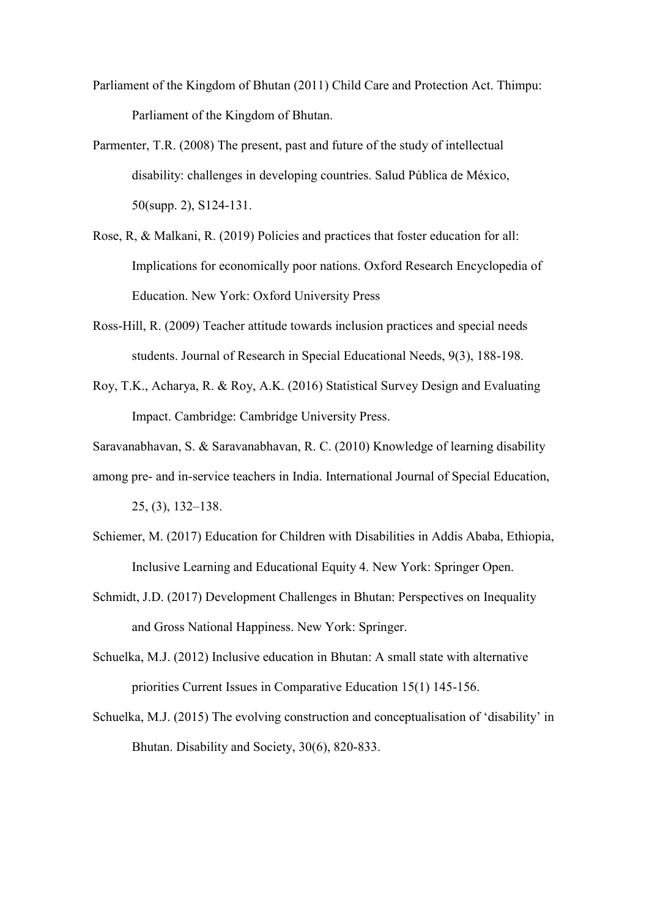- Parliament of the Kingdom of Bhutan (2011) Child Care and Protection Act. Thimpu: Parliament of the Kingdom of Bhutan.
- Parmenter, T.R. (2008) The present, past and future of the study of intellectual disability: challenges in developing countries. Salud Pública de México, 50(supp. 2), S124-131.
- Rose, R, & Malkani, R. (2019) Policies and practices that foster education for all: Implications for economically poor nations. Oxford Research Encyclopedia of Education. New York: Oxford University Press
- Ross-Hill, R. (2009) Teacher attitude towards inclusion practices and special needs students. Journal of Research in Special Educational Needs, 9(3), 188-198.
- Roy, T.K., Acharya, R. & Roy, A.K. (2016) Statistical Survey Design and Evaluating Impact. Cambridge: Cambridge University Press.
- Saravanabhavan, S. & Saravanabhavan, R. C. (2010) Knowledge of learning disability

among pre- and in-service teachers in India. International Journal of Special Education,

25, (3), 132–138.

- Schiemer, M. (2017) Education for Children with Disabilities in Addis Ababa, Ethiopia, Inclusive Learning and Educational Equity 4. New York: Springer Open.
- Schmidt, J.D. (2017) Development Challenges in Bhutan: Perspectives on Inequality and Gross National Happiness. New York: Springer.
- Schuelka, M.J. (2012) Inclusive education in Bhutan: A small state with alternative priorities Current Issues in Comparative Education 15(1) 145-156.
- Schuelka, M.J. (2015) The evolving construction and conceptualisation of 'disability' in Bhutan. Disability and Society, 30(6), 820-833.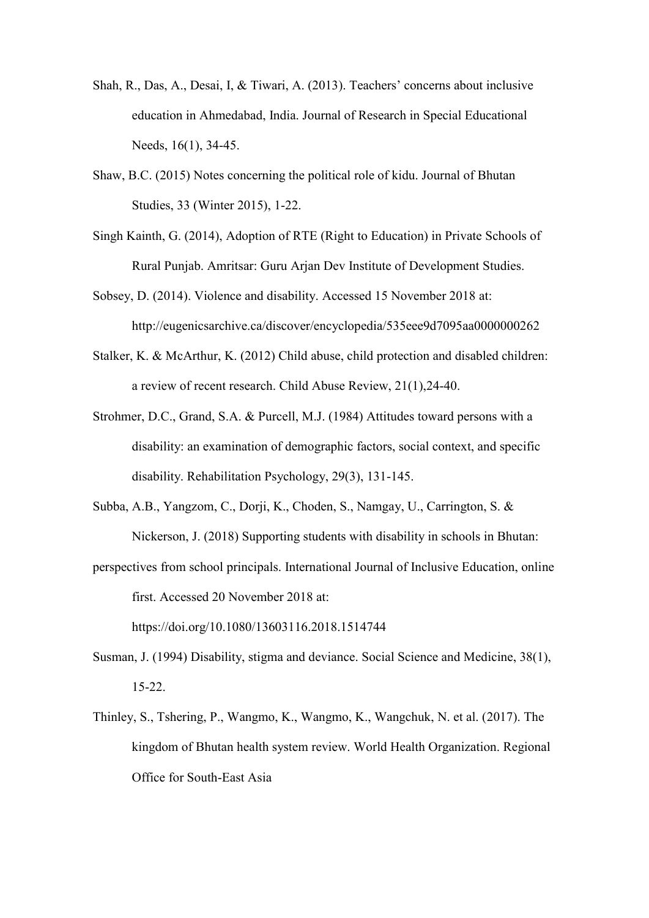- Shah, R., Das, A., Desai, I, & Tiwari, A. (2013). Teachers' concerns about inclusive education in Ahmedabad, India. Journal of Research in Special Educational Needs, 16(1), 34-45.
- Shaw, B.C. (2015) Notes concerning the political role of kidu. Journal of Bhutan Studies, 33 (Winter 2015), 1-22.
- Singh Kainth, G. (2014), Adoption of RTE (Right to Education) in Private Schools of Rural Punjab. Amritsar: Guru Arjan Dev Institute of Development Studies.
- Sobsey, D. (2014). Violence and disability. Accessed 15 November 2018 at: http://eugenicsarchive.ca/discover/encyclopedia/535eee9d7095aa0000000262
- Stalker, K. & McArthur, K. (2012) Child abuse, child protection and disabled children: a review of recent research. Child Abuse Review, 21(1),24-40.
- Strohmer, D.C., Grand, S.A. & Purcell, M.J. (1984) Attitudes toward persons with a disability: an examination of demographic factors, social context, and specific disability. Rehabilitation Psychology, 29(3), 131-145.
- Subba, A.B., Yangzom, C., Dorji, K., Choden, S., Namgay, U., Carrington, S. & Nickerson, J. (2018) Supporting students with disability in schools in Bhutan:
- perspectives from school principals. International Journal of Inclusive Education, online first. Accessed 20 November 2018 at:

https://doi.org/10.1080/13603116.2018.1514744

- Susman, J. (1994) Disability, stigma and deviance. Social Science and Medicine, 38(1), 15-22.
- Thinley, S., Tshering, P., Wangmo, K., Wangmo, K., Wangchuk, N. et al. (2017). The kingdom of Bhutan health system review. World Health Organization. Regional Office for South-East Asia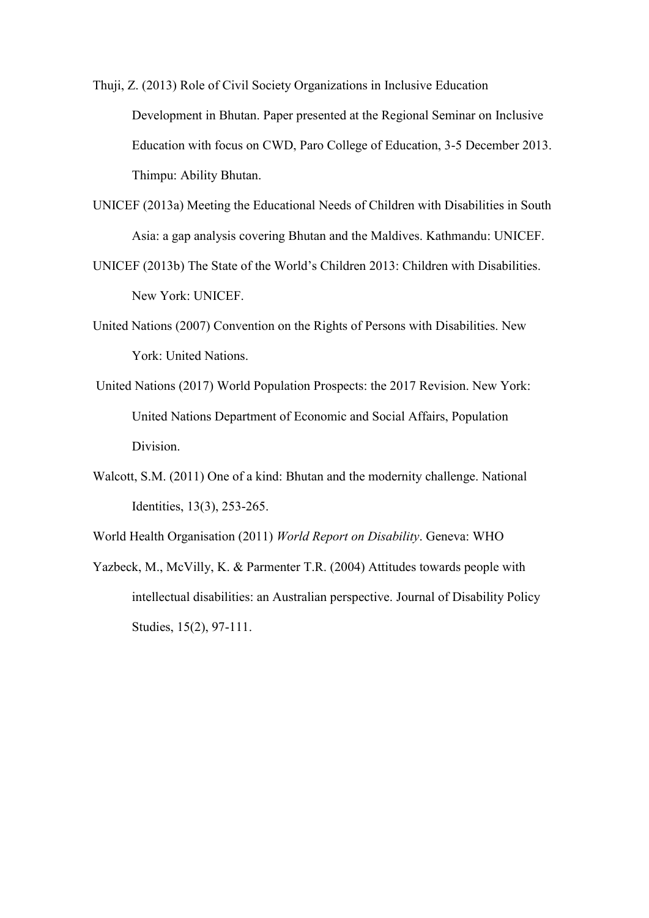Thuji, Z. (2013) Role of Civil Society Organizations in Inclusive Education Development in Bhutan. Paper presented at the Regional Seminar on Inclusive Education with focus on CWD, Paro College of Education, 3-5 December 2013. Thimpu: Ability Bhutan.

- UNICEF (2013a) Meeting the Educational Needs of Children with Disabilities in South Asia: a gap analysis covering Bhutan and the Maldives. Kathmandu: UNICEF.
- UNICEF (2013b) The State of the World's Children 2013: Children with Disabilities. New York: UNICEF.
- United Nations (2007) Convention on the Rights of Persons with Disabilities. New York: United Nations.
- United Nations (2017) World Population Prospects: the 2017 Revision. New York: United Nations Department of Economic and Social Affairs, Population Division.
- Walcott, S.M. (2011) One of a kind: Bhutan and the modernity challenge. National Identities, 13(3), 253-265.
- World Health Organisation (2011) *World Report on Disability*. Geneva: WHO
- Yazbeck, M., McVilly, K. & Parmenter T.R. (2004) Attitudes towards people with intellectual disabilities: an Australian perspective. Journal of Disability Policy Studies, 15(2), 97-111.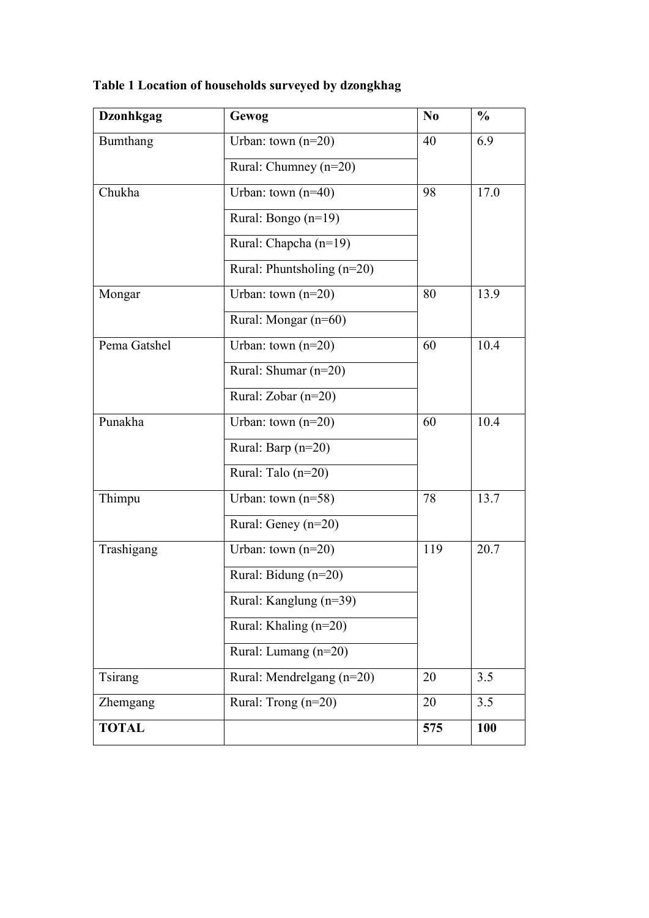| <b>Dzonhkgag</b> | Gewog                        | N <sub>0</sub> | $\frac{0}{0}$ |
|------------------|------------------------------|----------------|---------------|
| Bumthang         | Urban: town $(n=20)$         | 40             | 6.9           |
|                  | Rural: Chumney (n=20)        |                |               |
| Chukha           | Urban: town $(n=40)$         | 98             | 17.0          |
|                  | Rural: Bongo $(n=19)$        |                |               |
|                  | Rural: Chapcha (n=19)        |                |               |
|                  | Rural: Phuntsholing $(n=20)$ |                |               |
| Mongar           | Urban: town $(n=20)$         | 80             | 13.9          |
|                  | Rural: Mongar (n=60)         |                |               |
| Pema Gatshel     | Urban: town $(n=20)$         | 60             | 10.4          |
|                  | Rural: Shumar (n=20)         |                |               |
|                  | Rural: Zobar $(n=20)$        |                |               |
| Punakha          | Urban: town $(n=20)$         | 60             | 10.4          |
|                  | Rural: Barp (n=20)           |                |               |
|                  | Rural: Talo (n=20)           |                |               |
| Thimpu           | Urban: town $(n=58)$         | 78             | 13.7          |
|                  | Rural: Geney $(n=20)$        |                |               |
| Trashigang       | Urban: town $(n=20)$         | 119            | 20.7          |
|                  | Rural: Bidung $(n=20)$       |                |               |
|                  | Rural: Kanglung (n=39)       |                |               |
|                  | Rural: Khaling (n=20)        |                |               |
|                  | Rural: Lumang (n=20)         |                |               |
| Tsirang          | Rural: Mendrelgang (n=20)    | 20             | 3.5           |
| Zhemgang         | Rural: Trong (n=20)          | 20             | 3.5           |
| <b>TOTAL</b>     |                              | 575            | 100           |

**Table 1 Location of households surveyed by dzongkhag**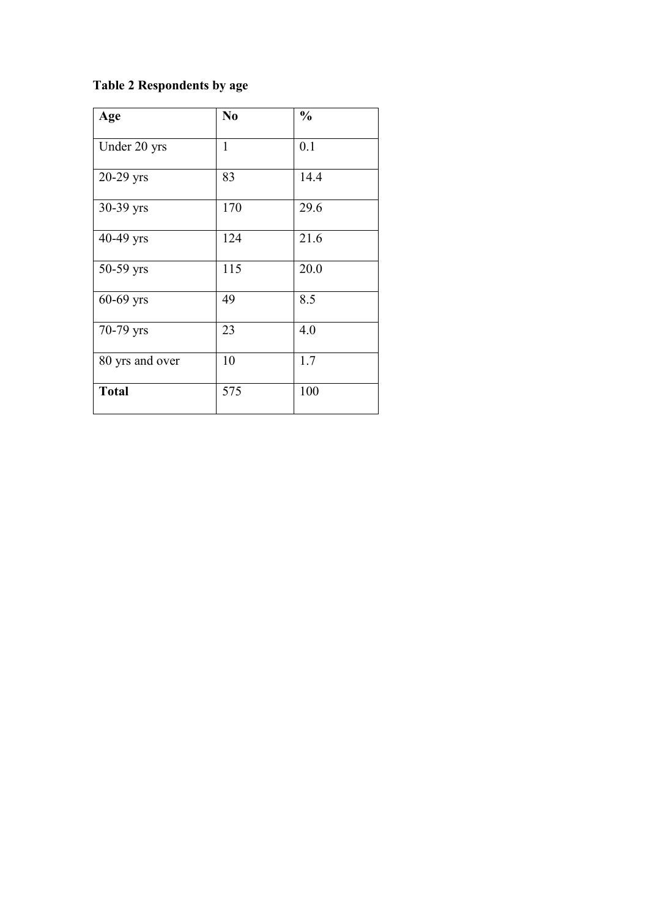# **Table 2 Respondents by age**

| Age             | N <sub>0</sub> | $\frac{0}{0}$ |
|-----------------|----------------|---------------|
| Under 20 yrs    | 1              | 0.1           |
| $20-29$ yrs     | 83             | 14.4          |
| 30-39 yrs       | 170            | 29.6          |
| 40-49 yrs       | 124            | 21.6          |
| 50-59 yrs       | 115            | 20.0          |
| 60-69 yrs       | 49             | 8.5           |
| 70-79 yrs       | 23             | 4.0           |
| 80 yrs and over | 10             | 1.7           |
| <b>Total</b>    | 575            | 100           |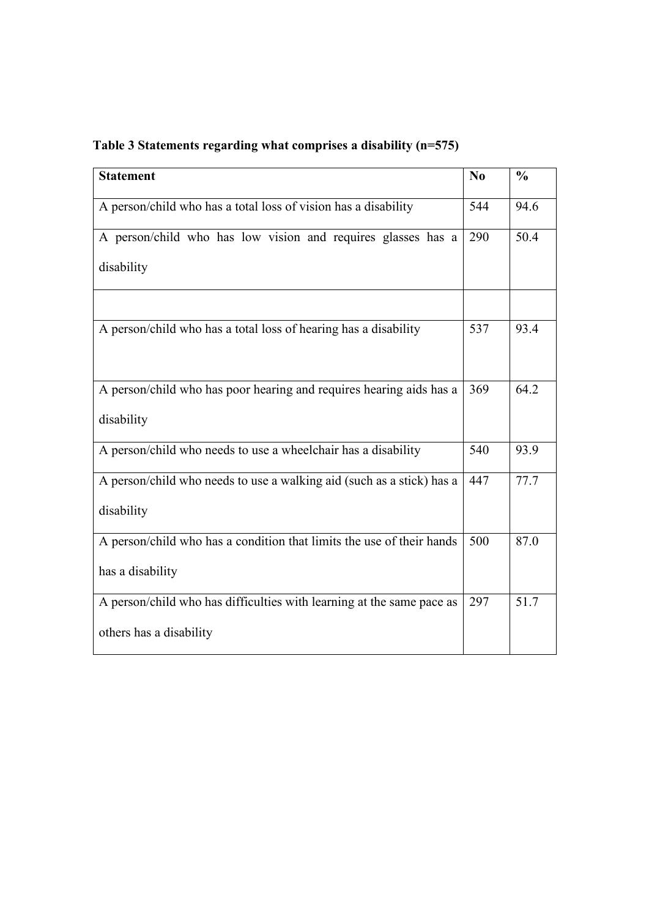| <b>Statement</b>                                                      | $\bf N$ <sub>0</sub> | $\frac{0}{0}$ |
|-----------------------------------------------------------------------|----------------------|---------------|
| A person/child who has a total loss of vision has a disability        | 544                  | 94.6          |
| A person/child who has low vision and requires glasses has a          | 290                  | 50.4          |
| disability                                                            |                      |               |
| A person/child who has a total loss of hearing has a disability       | 537                  | 93.4          |
| A person/child who has poor hearing and requires hearing aids has a   | 369                  | 64.2          |
| disability                                                            |                      |               |
| A person/child who needs to use a wheelchair has a disability         | 540                  | 93.9          |
| A person/child who needs to use a walking aid (such as a stick) has a | 447                  | 77.7          |
| disability                                                            |                      |               |
| A person/child who has a condition that limits the use of their hands | 500                  | 87.0          |
| has a disability                                                      |                      |               |
| A person/child who has difficulties with learning at the same pace as | 297                  | 51.7          |
| others has a disability                                               |                      |               |

# **Table 3 Statements regarding what comprises a disability (n=575)**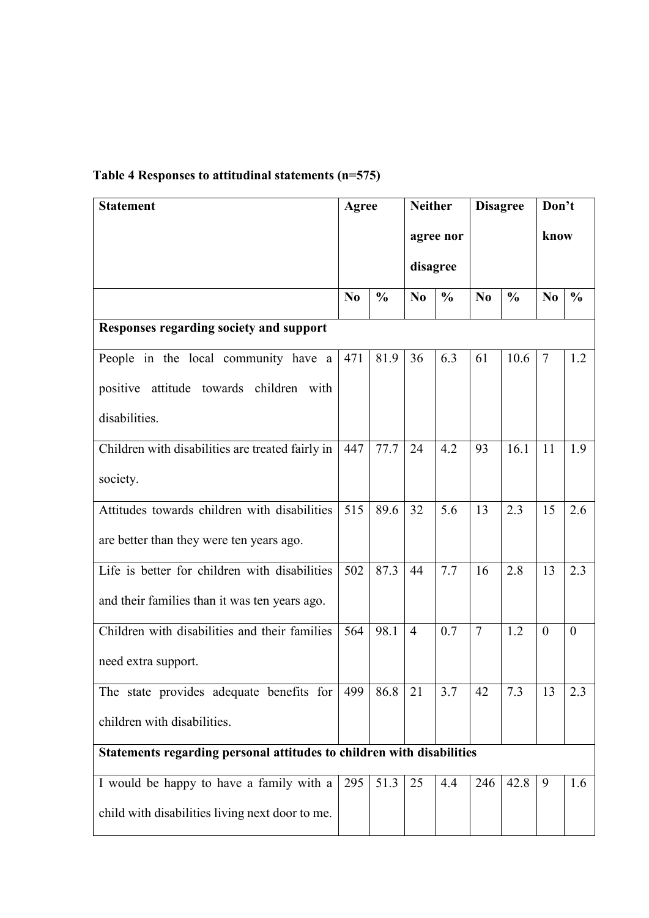| <b>Statement</b>                                                      | Agree          |               | <b>Neither</b> |               | <b>Disagree</b> |               | Don't          |               |
|-----------------------------------------------------------------------|----------------|---------------|----------------|---------------|-----------------|---------------|----------------|---------------|
|                                                                       |                |               |                | agree nor     |                 |               | know           |               |
|                                                                       |                |               | disagree       |               |                 |               |                |               |
|                                                                       | N <sub>0</sub> | $\frac{0}{0}$ | N <sub>0</sub> | $\frac{0}{0}$ | N <sub>0</sub>  | $\frac{0}{0}$ | N <sub>0</sub> | $\frac{0}{0}$ |
| Responses regarding society and support                               |                |               |                |               |                 |               |                |               |
| People in the local community have a                                  | 471            | 81.9          | 36             | 6.3           | 61              | 10.6          | $\overline{7}$ | 1.2           |
| positive attitude towards children with                               |                |               |                |               |                 |               |                |               |
| disabilities.                                                         |                |               |                |               |                 |               |                |               |
| Children with disabilities are treated fairly in                      | 447            | 77.7          | 24             | 4.2           | 93              | 16.1          | 11             | 1.9           |
| society.                                                              |                |               |                |               |                 |               |                |               |
| Attitudes towards children with disabilities                          | 515            | 89.6          | 32             | 5.6           | 13              | 2.3           | 15             | 2.6           |
| are better than they were ten years ago.                              |                |               |                |               |                 |               |                |               |
| Life is better for children with disabilities                         | 502            | 87.3          | 44             | 7.7           | 16              | 2.8           | 13             | 2.3           |
| and their families than it was ten years ago.                         |                |               |                |               |                 |               |                |               |
| Children with disabilities and their families                         | 564            | 98.1          | $\overline{4}$ | 0.7           | $\overline{7}$  | 1.2           | $\theta$       | $\theta$      |
| need extra support.                                                   |                |               |                |               |                 |               |                |               |
| The state provides adequate benefits for                              | 499            | 86.8          | 21             | 3.7           | 42              | 7.3           | 13             | 2.3           |
| children with disabilities.                                           |                |               |                |               |                 |               |                |               |
| Statements regarding personal attitudes to children with disabilities |                |               |                |               |                 |               |                |               |
| I would be happy to have a family with a                              | 295            | 51.3          | 25             | 4.4           | 246             | 42.8          | 9              | 1.6           |
| child with disabilities living next door to me.                       |                |               |                |               |                 |               |                |               |

# **Table 4 Responses to attitudinal statements (n=575)**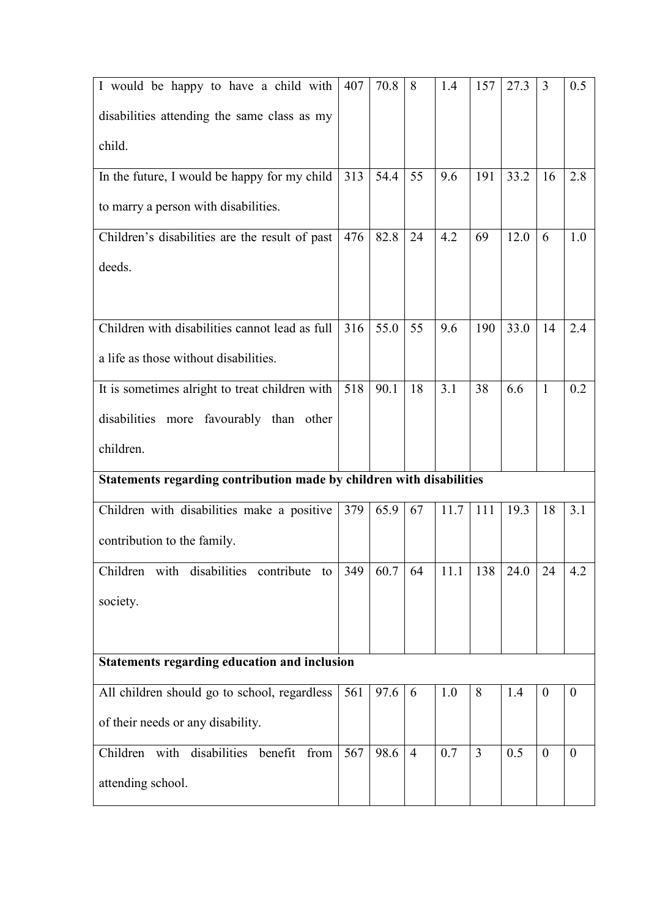| I would be happy to have a child with                                | 407 | 70.8 | 8              | 1.4  | 157            | 27.3 | 3                | 0.5              |
|----------------------------------------------------------------------|-----|------|----------------|------|----------------|------|------------------|------------------|
| disabilities attending the same class as my                          |     |      |                |      |                |      |                  |                  |
| child.                                                               |     |      |                |      |                |      |                  |                  |
| In the future, I would be happy for my child                         | 313 | 54.4 | 55             | 9.6  | 191            | 33.2 | 16               | 2.8              |
| to marry a person with disabilities.                                 |     |      |                |      |                |      |                  |                  |
| Children's disabilities are the result of past                       | 476 | 82.8 | 24             | 4.2  | 69             | 12.0 | 6                | 1.0              |
| deeds.                                                               |     |      |                |      |                |      |                  |                  |
| Children with disabilities cannot lead as full                       | 316 | 55.0 | 55             | 9.6  | 190            | 33.0 | 14               | 2.4              |
| a life as those without disabilities.                                |     |      |                |      |                |      |                  |                  |
| It is sometimes alright to treat children with                       | 518 | 90.1 | 18             | 3.1  | 38             | 6.6  | 1                | 0.2              |
| disabilities more favourably than other                              |     |      |                |      |                |      |                  |                  |
| children.                                                            |     |      |                |      |                |      |                  |                  |
| Statements regarding contribution made by children with disabilities |     |      |                |      |                |      |                  |                  |
| Children with disabilities make a positive                           | 379 | 65.9 | 67             | 11.7 | 111            | 19.3 | 18               | 3.1              |
| contribution to the family.                                          |     |      |                |      |                |      |                  |                  |
| Children with disabilities contribute to                             | 349 | 60.7 | 64             | 11.1 | 138            | 24.0 | 24               | 4.2              |
| society.                                                             |     |      |                |      |                |      |                  |                  |
|                                                                      |     |      |                |      |                |      |                  |                  |
| <b>Statements regarding education and inclusion</b>                  |     |      |                |      |                |      |                  |                  |
| All children should go to school, regardless                         | 561 | 97.6 | 6              | 1.0  | 8              | 1.4  | $\boldsymbol{0}$ | $\boldsymbol{0}$ |
|                                                                      |     |      |                |      |                |      |                  |                  |
| of their needs or any disability.                                    |     |      |                |      |                |      |                  |                  |
| Children with disabilities benefit<br>from                           | 567 | 98.6 | $\overline{4}$ | 0.7  | $\overline{3}$ | 0.5  | $\overline{0}$   | $\theta$         |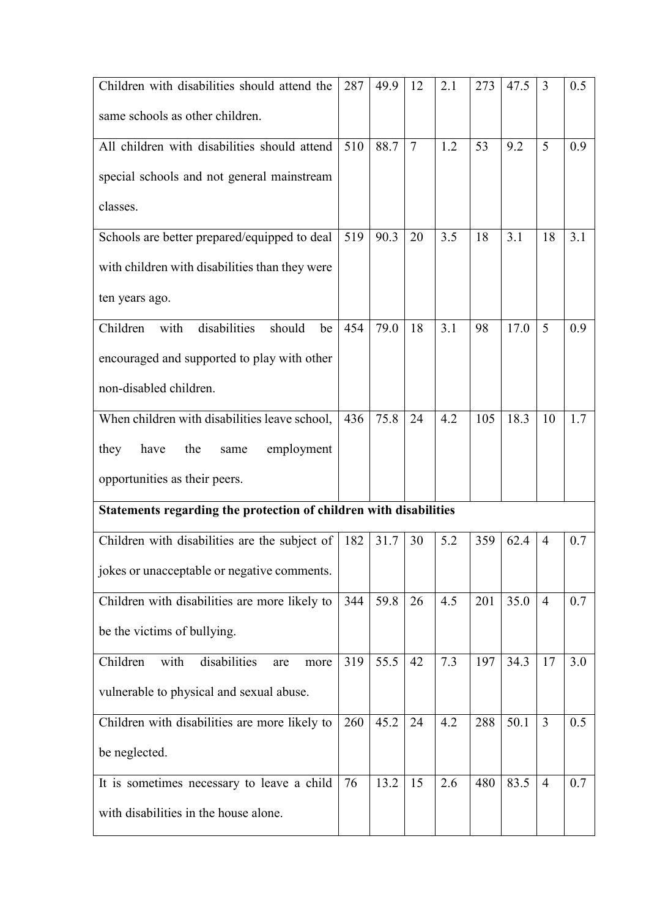| Children with disabilities should attend the                      | 287 | 49.9 | 12             | 2.1 | 273 | 47.5 | 3              | 0.5     |
|-------------------------------------------------------------------|-----|------|----------------|-----|-----|------|----------------|---------|
| same schools as other children.                                   |     |      |                |     |     |      |                |         |
| All children with disabilities should attend                      | 510 | 88.7 | $\overline{7}$ | 1.2 | 53  | 9.2  | 5              | 0.9     |
| special schools and not general mainstream                        |     |      |                |     |     |      |                |         |
| classes.                                                          |     |      |                |     |     |      |                |         |
| Schools are better prepared/equipped to deal                      | 519 | 90.3 | 20             | 3.5 | 18  | 3.1  | 18             | 3.1     |
| with children with disabilities than they were                    |     |      |                |     |     |      |                |         |
| ten years ago.                                                    |     |      |                |     |     |      |                |         |
| disabilities<br>Children<br>with<br>should<br>be                  | 454 | 79.0 | 18             | 3.1 | 98  | 17.0 | 5              | 0.9     |
| encouraged and supported to play with other                       |     |      |                |     |     |      |                |         |
| non-disabled children.                                            |     |      |                |     |     |      |                |         |
| When children with disabilities leave school,                     | 436 | 75.8 | 24             | 4.2 | 105 | 18.3 | 10             | 1.7     |
| they<br>the<br>have<br>employment<br>same                         |     |      |                |     |     |      |                |         |
| opportunities as their peers.                                     |     |      |                |     |     |      |                |         |
| Statements regarding the protection of children with disabilities |     |      |                |     |     |      |                |         |
| Children with disabilities are the subject of                     | 182 | 31.7 | 30             | 5.2 | 359 | 62.4 | 4              | 0.7     |
| jokes or unacceptable or negative comments.                       |     |      |                |     |     |      |                |         |
| Children with disabilities are more likely to                     | 344 | 59.8 | 26             | 4.5 | 201 | 35.0 | $\overline{4}$ | 0.7     |
| be the victims of bullying.                                       |     |      |                |     |     |      |                |         |
| disabilities<br>with<br>Children<br>are<br>more                   | 319 | 55.5 | 42             | 7.3 | 197 | 34.3 | 17             | 3.0     |
| vulnerable to physical and sexual abuse.                          |     |      |                |     |     |      |                |         |
| Children with disabilities are more likely to                     | 260 | 45.2 | 24             | 4.2 | 288 | 50.1 | $\overline{3}$ | 0.5     |
| be neglected.                                                     |     |      |                |     |     |      |                |         |
| It is sometimes necessary to leave a child                        | 76  | 13.2 | 15             | 2.6 | 480 | 83.5 | $\overline{4}$ | $0.7\,$ |
| with disabilities in the house alone.                             |     |      |                |     |     |      |                |         |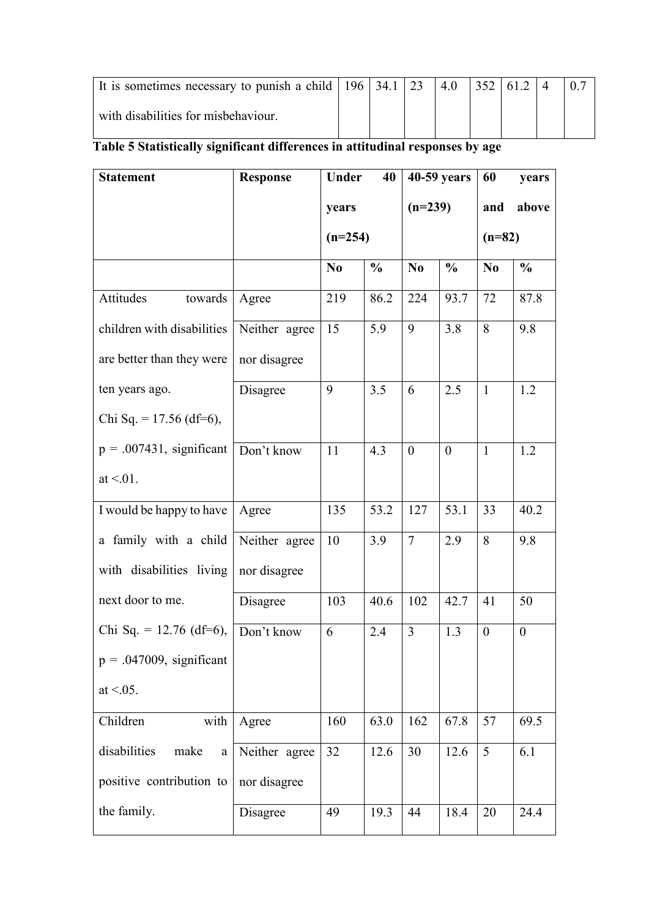| It is sometimes necessary to punish a child   $196$   34.1 |  | $\sqrt{23}$ |  |  |  |
|------------------------------------------------------------|--|-------------|--|--|--|
| with disabilities for misbehaviour.                        |  |             |  |  |  |

# **Table 5 Statistically significant differences in attitudinal responses by age**

| <b>Statement</b>                 | <b>Response</b> | Under          | 40            |                | 40-59 years    | 60               | years          |
|----------------------------------|-----------------|----------------|---------------|----------------|----------------|------------------|----------------|
|                                  |                 | years          |               | $(n=239)$      |                | and              | above          |
|                                  |                 |                | $(n=254)$     |                | $(n=82)$       |                  |                |
|                                  |                 | N <sub>0</sub> | $\frac{0}{0}$ | No             | $\frac{0}{0}$  | N <sub>0</sub>   | $\frac{0}{0}$  |
| Attitudes<br>towards             | Agree           | 219            | 86.2          | 224            | 93.7           | 72               | 87.8           |
| children with disabilities       | Neither agree   | 15             | 5.9           | 9              | 3.8            | 8                | 9.8            |
| are better than they were        | nor disagree    |                |               |                |                |                  |                |
| ten years ago.                   | Disagree        | 9              | 3.5           | 6              | 2.5            | $\mathbf{1}$     | 1.2            |
| Chi Sq. = $17.56$ (df=6),        |                 |                |               |                |                |                  |                |
| $p = .007431$ , significant      | Don't know      | 11             | 4.3           | $\overline{0}$ | $\overline{0}$ | $\mathbf{1}$     | 1.2            |
| at $\leq 0.01$ .                 |                 |                |               |                |                |                  |                |
| I would be happy to have         | Agree           | 135            | 53.2          | 127            | 53.1           | 33               | 40.2           |
| a family with a child            | Neither agree   | 10             | 3.9           | $\tau$         | 2.9            | 8                | 9.8            |
| with disabilities living         | nor disagree    |                |               |                |                |                  |                |
| next door to me.                 | Disagree        | 103            | 40.6          | 102            | 42.7           | 41               | 50             |
| Chi Sq. = $12.76$ (df=6),        | Don't know      | 6              | 2.4           | 3              | 1.3            | $\boldsymbol{0}$ | $\overline{0}$ |
| $p = .047009$ , significant      |                 |                |               |                |                |                  |                |
| at $< 0.05$ .                    |                 |                |               |                |                |                  |                |
| Children<br>with                 | Agree           | 160            | 63.0          | 162            | 67.8           | 57               | 69.5           |
| disabilities<br>make<br>$\rm{a}$ | Neither agree   | 32             | 12.6          | 30             | 12.6           | $5\overline{)}$  | 6.1            |
| positive contribution to         | nor disagree    |                |               |                |                |                  |                |
| the family.                      | Disagree        | 49             | 19.3          | 44             | 18.4           | 20               | 24.4           |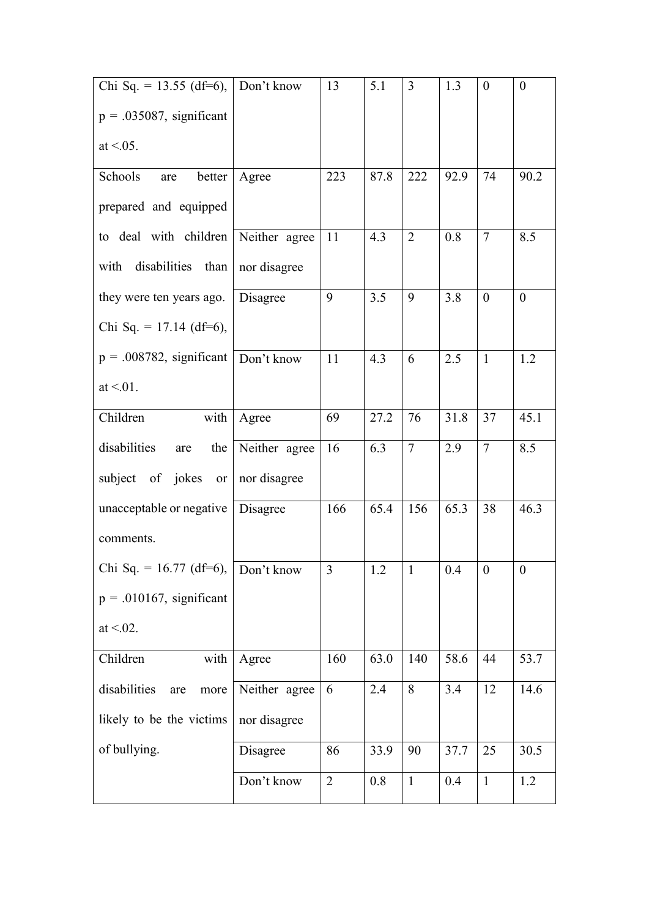| Chi Sq. = 13.55 (df=6), $\vert$ Don't know |               | 13             | 5.1  | $\overline{3}$ | 1.3  | $\boldsymbol{0}$ | $\overline{0}$   |
|--------------------------------------------|---------------|----------------|------|----------------|------|------------------|------------------|
| $p = .035087$ , significant                |               |                |      |                |      |                  |                  |
| at $< 0.05$ .                              |               |                |      |                |      |                  |                  |
| Schools<br>better<br>are                   | Agree         | 223            | 87.8 | 222            | 92.9 | 74               | 90.2             |
| prepared and equipped                      |               |                |      |                |      |                  |                  |
| to deal with children Neither agree        |               | 11             | 4.3  | $\overline{2}$ | 0.8  | $\overline{7}$   | 8.5              |
| with disabilities than                     | nor disagree  |                |      |                |      |                  |                  |
| they were ten years ago.                   | Disagree      | 9              | 3.5  | 9              | 3.8  | $\theta$         | $\theta$         |
| Chi Sq. = $17.14$ (df=6),                  |               |                |      |                |      |                  |                  |
| $p = .008782$ , significant                | Don't know    | 11             | 4.3  | 6              | 2.5  | $\mathbf{1}$     | 1.2              |
| at $\leq$ 01.                              |               |                |      |                |      |                  |                  |
| Children<br>with                           | Agree         | 69             | 27.2 | 76             | 31.8 | 37               | 45.1             |
| disabilities<br>the<br>are                 | Neither agree | 16             | 6.3  | $\overline{7}$ | 2.9  | $\overline{7}$   | 8.5              |
| subject of jokes or                        | nor disagree  |                |      |                |      |                  |                  |
| unacceptable or negative                   | Disagree      | 166            | 65.4 | 156            | 65.3 | 38               | 46.3             |
| comments.                                  |               |                |      |                |      |                  |                  |
| Chi Sq. = $16.77$ (df=6),                  | Don't know    | 3              | 1.2  | $\mathbf{1}$   | 0.4  | $\boldsymbol{0}$ | $\boldsymbol{0}$ |
| $p = .010167$ , significant                |               |                |      |                |      |                  |                  |
| at $< 0.02$ .                              |               |                |      |                |      |                  |                  |
| with<br>Children                           | Agree         | 160            | 63.0 | 140            | 58.6 | 44               | 53.7             |
| disabilities<br>are<br>more                | Neither agree | 6              | 2.4  | 8              | 3.4  | 12               | 14.6             |
| likely to be the victims                   | nor disagree  |                |      |                |      |                  |                  |
| of bullying.                               | Disagree      | 86             | 33.9 | 90             | 37.7 | 25               | 30.5             |
|                                            | Don't know    | $\overline{2}$ | 0.8  | $\mathbf{1}$   | 0.4  | $\mathbf{1}$     | 1.2              |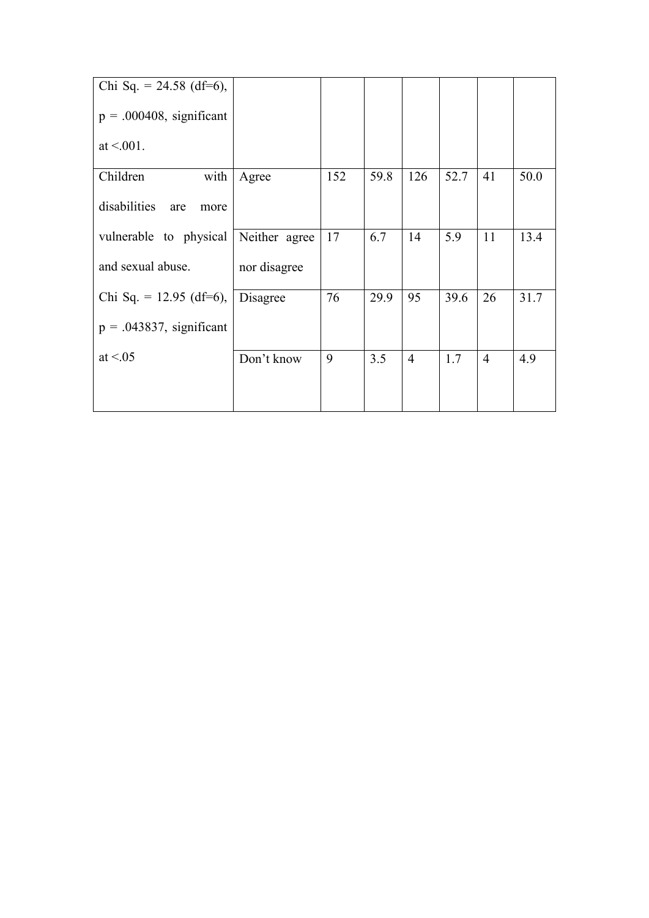| Chi Sq. = $24.58$ (df=6),   |               |     |      |     |      |    |      |
|-----------------------------|---------------|-----|------|-----|------|----|------|
| $p = .000408$ , significant |               |     |      |     |      |    |      |
| at $\leq 0.01$ .            |               |     |      |     |      |    |      |
| with<br>Children            | Agree         | 152 | 59.8 | 126 | 52.7 | 41 | 50.0 |
| disabilities<br>are<br>more |               |     |      |     |      |    |      |
| vulnerable to physical      | Neither agree | 17  | 6.7  | 14  | 5.9  | 11 | 13.4 |
| and sexual abuse.           | nor disagree  |     |      |     |      |    |      |
| Chi Sq. = $12.95$ (df=6),   | Disagree      | 76  | 29.9 | 95  | 39.6 | 26 | 31.7 |
| $p = .043837$ , significant |               |     |      |     |      |    |      |
| at $\leq 0.05$              | Don't know    | 9   | 3.5  | 4   | 1.7  | 4  | 4.9  |
|                             |               |     |      |     |      |    |      |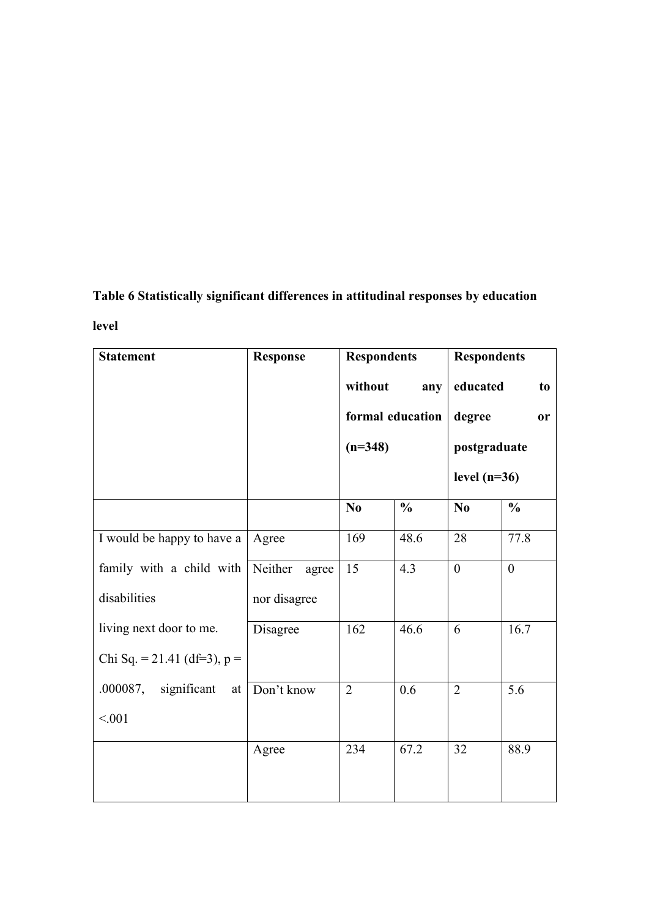# **Table 6 Statistically significant differences in attitudinal responses by education level**

| <b>Statement</b>              | <b>Response</b>  | <b>Respondents</b> |                  | <b>Respondents</b> |                |  |
|-------------------------------|------------------|--------------------|------------------|--------------------|----------------|--|
|                               |                  | without            | any              | educated           | t <sub>0</sub> |  |
|                               |                  |                    | formal education | degree             | <b>or</b>      |  |
|                               |                  | $(n=348)$          |                  | postgraduate       |                |  |
|                               |                  |                    |                  | level $(n=36)$     |                |  |
|                               |                  | No                 | $\frac{0}{0}$    | No                 | $\frac{0}{0}$  |  |
| I would be happy to have a    | Agree            | 169                | 48.6             | 28                 | 77.8           |  |
| family with a child with      | Neither<br>agree | 15                 | 4.3              | $\overline{0}$     | $\overline{0}$ |  |
| disabilities                  | nor disagree     |                    |                  |                    |                |  |
| living next door to me.       | Disagree         | 162                | 46.6             | 6                  | 16.7           |  |
| Chi Sq. = 21.41 (df=3), $p =$ |                  |                    |                  |                    |                |  |
| .000087, significant          | at Don't know    | $\overline{2}$     | 0.6              | $\overline{2}$     | 5.6            |  |
| < 0.01                        |                  |                    |                  |                    |                |  |
|                               | Agree            | 234                | 67.2             | 32                 | 88.9           |  |
|                               |                  |                    |                  |                    |                |  |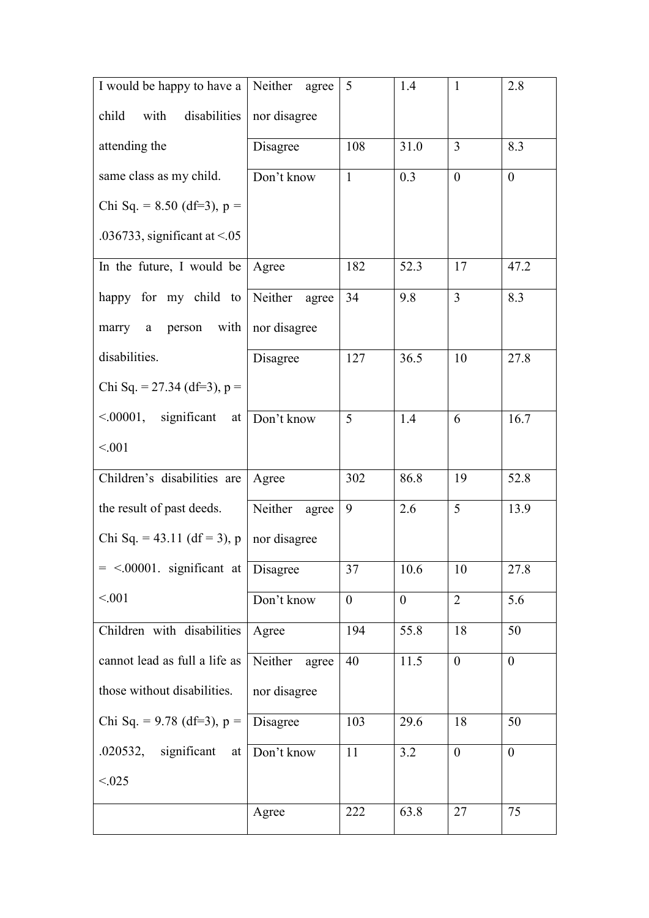| I would be happy to have a               | Neither agree    | 5              | 1.4            | $\mathbf{1}$   | 2.8      |
|------------------------------------------|------------------|----------------|----------------|----------------|----------|
| child<br>with<br>disabilities            | nor disagree     |                |                |                |          |
| attending the                            | Disagree         | 108            | 31.0           | $\overline{3}$ | 8.3      |
| same class as my child.                  | Don't know       | $\mathbf{1}$   | 0.3            | $\theta$       | $\theta$ |
| Chi Sq. = $8.50$ (df=3), p =             |                  |                |                |                |          |
| .036733, significant at $< 0.05$         |                  |                |                |                |          |
| In the future, I would be                | Agree            | 182            | 52.3           | 17             | 47.2     |
| happy for my child to Neither agree      |                  | 34             | 9.8            | $\overline{3}$ | 8.3      |
| marry a person with   nor disagree       |                  |                |                |                |          |
| disabilities.                            | Disagree         | 127            | 36.5           | 10             | 27.8     |
| Chi Sq. = 27.34 (df=3), $p =$            |                  |                |                |                |          |
| $\leq 00001$ , significant at Don't know |                  | 5              | 1.4            | 6              | 16.7     |
| < 0.01                                   |                  |                |                |                |          |
| Children's disabilities are              | Agree            | 302            | 86.8           | 19             | 52.8     |
| the result of past deeds.                | Neither<br>agree | 9              | 2.6            | 5              | 13.9     |
| Chi Sq. = 43.11 (df = 3), p              | nor disagree     |                |                |                |          |
| $=$ <.00001. significant at Disagree     |                  | 37             | 10.6           | 10             | 27.8     |
| < 0.01                                   | Don't know       | $\overline{0}$ | $\overline{0}$ | $\overline{2}$ | 5.6      |
| Children with disabilities               | Agree            | 194            | 55.8           | 18             | 50       |
| cannot lead as full a life as            | Neither<br>agree | 40             | 11.5           | $\theta$       | $\theta$ |
| those without disabilities.              | nor disagree     |                |                |                |          |
| Chi Sq. = $9.78$ (df=3), p =             | Disagree         | 103            | 29.6           | 18             | 50       |
| .020532, significant at                  | Don't know       | 11             | 3.2            | $\theta$       | $\theta$ |
| < 0.025                                  |                  |                |                |                |          |
|                                          | Agree            | 222            | 63.8           | 27             | 75       |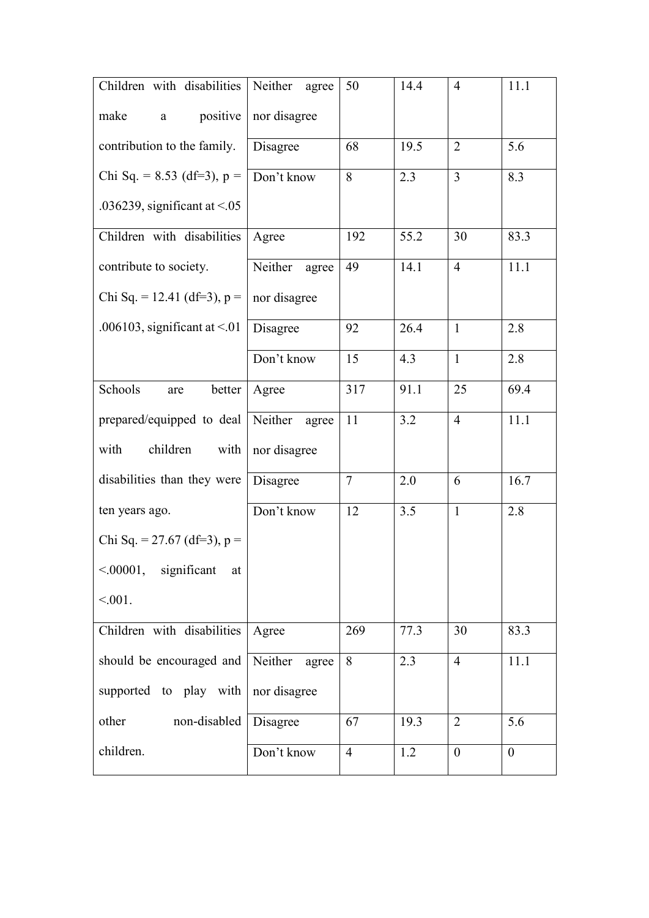| Children with disabilities         | Neither<br>agree | 50             | 14.4 | $\overline{4}$   | 11.1           |
|------------------------------------|------------------|----------------|------|------------------|----------------|
| make<br>positive<br>$\mathbf{a}$   | nor disagree     |                |      |                  |                |
| contribution to the family.        | Disagree         | 68             | 19.5 | $\overline{2}$   | 5.6            |
| Chi Sq. = $8.53$ (df=3), p =       | Don't know       | 8              | 2.3  | $\overline{3}$   | 8.3            |
| .036239, significant at $\leq$ .05 |                  |                |      |                  |                |
| Children with disabilities         | Agree            | 192            | 55.2 | 30               | 83.3           |
| contribute to society.             | Neither<br>agree | 49             | 14.1 | $\overline{4}$   | 11.1           |
| Chi Sq. = 12.41 (df=3), $p =$      | nor disagree     |                |      |                  |                |
| .006103, significant at $\leq$ .01 | Disagree         | 92             | 26.4 | $\mathbf{1}$     | 2.8            |
|                                    | Don't know       | 15             | 4.3  | $\mathbf{1}$     | 2.8            |
| Schools<br>better<br>are           | Agree            | 317            | 91.1 | 25               | 69.4           |
| prepared/equipped to deal          | Neither<br>agree | 11             | 3.2  | $\overline{4}$   | 11.1           |
| with<br>children<br>with           | nor disagree     |                |      |                  |                |
| disabilities than they were        | Disagree         | $\overline{7}$ | 2.0  | 6                | 16.7           |
| ten years ago.                     | Don't know       | 12             | 3.5  | $\mathbf{1}$     | 2.8            |
| Chi Sq. = 27.67 (df=3), $p =$      |                  |                |      |                  |                |
| $\leq 00001$ , significant<br>at   |                  |                |      |                  |                |
| $< 0.01$ .                         |                  |                |      |                  |                |
| Children with disabilities         | Agree            | 269            | 77.3 | 30               | 83.3           |
| should be encouraged and           | Neither<br>agree | 8              | 2.3  | $\overline{4}$   | 11.1           |
| supported to play with             | nor disagree     |                |      |                  |                |
| other<br>non-disabled              | Disagree         | 67             | 19.3 | $\overline{2}$   | 5.6            |
| children.                          | Don't know       | $\overline{4}$ | 1.2  | $\boldsymbol{0}$ | $\overline{0}$ |